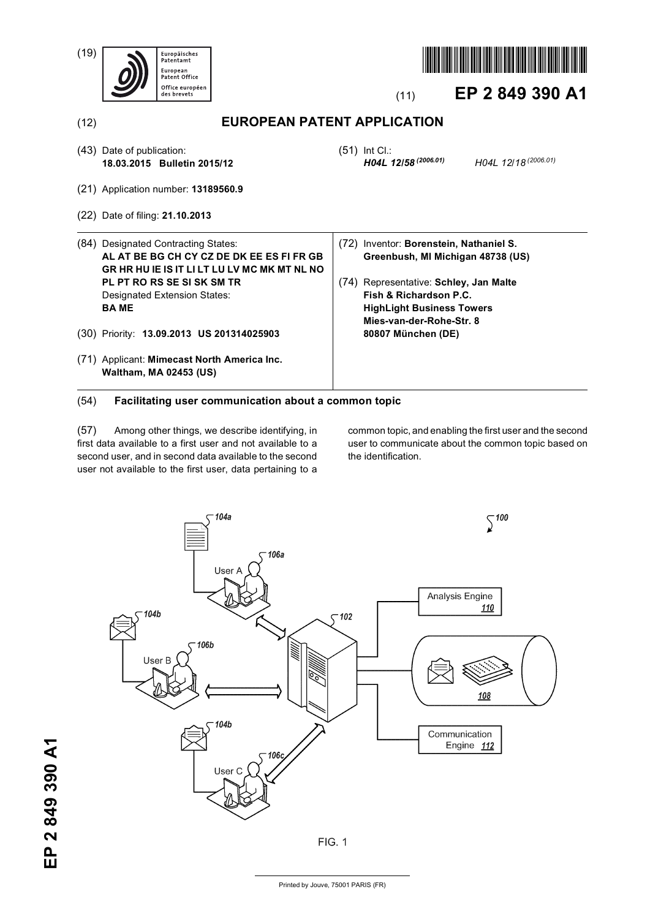(19)





# (11) **EP 2 849 390 A1**

*H04L 12/58 (2006.01) H04L 12/18 (2006.01)*

(12) **EUROPEAN PATENT APPLICATION**

- (43) Date of publication: **18.03.2015 Bulletin 2015/12**
- (21) Application number: **13189560.9**
- (22) Date of filing: **21.10.2013**
- (84) Designated Contracting States: **AL AT BE BG CH CY CZ DE DK EE ES FI FR GB GR HR HU IE IS IT LI LT LU LV MC MK MT NL NO PL PT RO RS SE SI SK SM TR** Designated Extension States: **BA ME**
- (30) Priority: **13.09.2013 US 201314025903**
- (71) Applicant: **Mimecast North America Inc. Waltham, MA 02453 (US)**

(72) Inventor: **Borenstein, Nathaniel S. Greenbush, MI Michigan 48738 (US)**

(51) Int Cl.:<br>**H04L 12/58** (2006.01)

(74) Representative: **Schley, Jan Malte Fish & Richardson P.C. HighLight Business Towers Mies-van-der-Rohe-Str. 8 80807 München (DE)**

# (54) **Facilitating user communication about a common topic**

(57) Among other things, we describe identifying, in first data available to a first user and not available to a second user, and in second data available to the second user not available to the first user, data pertaining to a

common topic, and enabling the first user and the second user to communicate about the common topic based on the identification.

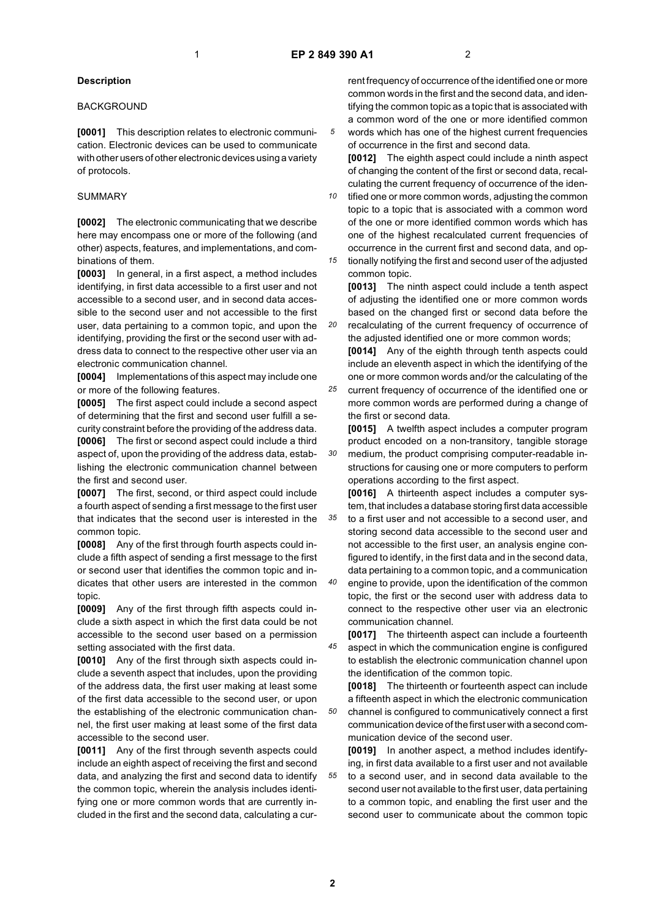*20*

*30*

*35*

### **Description**

#### **BACKGROUND**

**[0001]** This description relates to electronic communication. Electronic devices can be used to communicate with other users of other electronic devices using a variety of protocols.

# SUMMARY

**[0002]** The electronic communicating that we describe here may encompass one or more of the following (and other) aspects, features, and implementations, and combinations of them.

**[0003]** In general, in a first aspect, a method includes identifying, in first data accessible to a first user and not accessible to a second user, and in second data accessible to the second user and not accessible to the first user, data pertaining to a common topic, and upon the identifying, providing the first or the second user with address data to connect to the respective other user via an electronic communication channel.

**[0004]** Implementations of this aspect may include one or more of the following features.

**[0005]** The first aspect could include a second aspect of determining that the first and second user fulfill a security constraint before the providing of the address data.

**[0006]** The first or second aspect could include a third aspect of, upon the providing of the address data, establishing the electronic communication channel between the first and second user.

**[0007]** The first, second, or third aspect could include a fourth aspect of sending a first message to the first user that indicates that the second user is interested in the common topic.

**[0008]** Any of the first through fourth aspects could include a fifth aspect of sending a first message to the first or second user that identifies the common topic and indicates that other users are interested in the common topic.

**[0009]** Any of the first through fifth aspects could include a sixth aspect in which the first data could be not accessible to the second user based on a permission setting associated with the first data.

**[0010]** Any of the first through sixth aspects could include a seventh aspect that includes, upon the providing of the address data, the first user making at least some of the first data accessible to the second user, or upon the establishing of the electronic communication channel, the first user making at least some of the first data accessible to the second user.

**[0011]** Any of the first through seventh aspects could include an eighth aspect of receiving the first and second data, and analyzing the first and second data to identify the common topic, wherein the analysis includes identifying one or more common words that are currently included in the first and the second data, calculating a cur-

rent frequency of occurrence of the identified one or more common words in the first and the second data, and identifying the common topic as a topic that is associated with a common word of the one or more identified common words which has one of the highest current frequencies of occurrence in the first and second data.

**[0012]** The eighth aspect could include a ninth aspect of changing the content of the first or second data, recalculating the current frequency of occurrence of the iden-

*10* tified one or more common words, adjusting the common topic to a topic that is associated with a common word of the one or more identified common words which has one of the highest recalculated current frequencies of occurrence in the current first and second data, and op-

*15* tionally notifying the first and second user of the adjusted common topic.

**[0013]** The ninth aspect could include a tenth aspect of adjusting the identified one or more common words based on the changed first or second data before the recalculating of the current frequency of occurrence of

the adjusted identified one or more common words; **[0014]** Any of the eighth through tenth aspects could include an eleventh aspect in which the identifying of the one or more common words and/or the calculating of the

*25* current frequency of occurrence of the identified one or more common words are performed during a change of the first or second data.

**[0015]** A twelfth aspect includes a computer program product encoded on a non-transitory, tangible storage medium, the product comprising computer-readable instructions for causing one or more computers to perform operations according to the first aspect.

**[0016]** A thirteenth aspect includes a computer system, that includes a database storing first data accessible to a first user and not accessible to a second user, and

storing second data accessible to the second user and not accessible to the first user, an analysis engine configured to identify, in the first data and in the second data, data pertaining to a common topic, and a communication

*40* engine to provide, upon the identification of the common topic, the first or the second user with address data to connect to the respective other user via an electronic communication channel.

*45* **[0017]** The thirteenth aspect can include a fourteenth aspect in which the communication engine is configured to establish the electronic communication channel upon the identification of the common topic.

**[0018]** The thirteenth or fourteenth aspect can include a fifteenth aspect in which the electronic communication channel is configured to communicatively connect a first communication device of the first user with a second communication device of the second user.

*55* **[0019]** In another aspect, a method includes identifying, in first data available to a first user and not available to a second user, and in second data available to the second user not available to the first user, data pertaining to a common topic, and enabling the first user and the second user to communicate about the common topic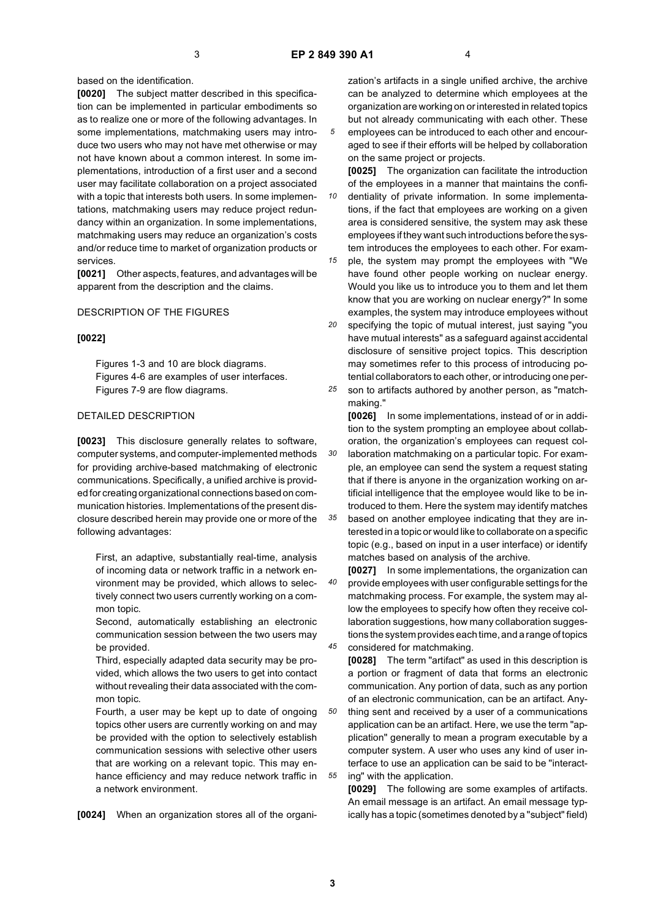*10*

*30*

based on the identification.

**[0020]** The subject matter described in this specification can be implemented in particular embodiments so as to realize one or more of the following advantages. In some implementations, matchmaking users may introduce two users who may not have met otherwise or may not have known about a common interest. In some implementations, introduction of a first user and a second user may facilitate collaboration on a project associated with a topic that interests both users. In some implementations, matchmaking users may reduce project redundancy within an organization. In some implementations, matchmaking users may reduce an organization's costs and/or reduce time to market of organization products or services.

**[0021]** Other aspects, features, and advantages will be apparent from the description and the claims.

#### DESCRIPTION OF THE FIGURES

#### **[0022]**

Figures 1-3 and 10 are block diagrams. Figures 4-6 are examples of user interfaces. Figures 7-9 are flow diagrams.

#### DETAILED DESCRIPTION

**[0023]** This disclosure generally relates to software, computer systems, and computer-implemented methods for providing archive-based matchmaking of electronic communications. Specifically, a unified archive is provided for creating organizational connections based on communication histories. Implementations of the present disclosure described herein may provide one or more of the following advantages:

First, an adaptive, substantially real-time, analysis of incoming data or network traffic in a network environment may be provided, which allows to selectively connect two users currently working on a common topic.

Second, automatically establishing an electronic communication session between the two users may be provided.

Third, especially adapted data security may be provided, which allows the two users to get into contact without revealing their data associated with the common topic.

Fourth, a user may be kept up to date of ongoing topics other users are currently working on and may be provided with the option to selectively establish communication sessions with selective other users that are working on a relevant topic. This may enhance efficiency and may reduce network traffic in a network environment.

**[0024]** When an organization stores all of the organi-

zation's artifacts in a single unified archive, the archive can be analyzed to determine which employees at the organization are working on or interested in related topics but not already communicating with each other. These employees can be introduced to each other and encour-

aged to see if their efforts will be helped by collaboration on the same project or projects. **[0025]** The organization can facilitate the introduction

of the employees in a manner that maintains the confidentiality of private information. In some implementa-

tions, if the fact that employees are working on a given area is considered sensitive, the system may ask these employees if they want such introductions before the system introduces the employees to each other. For exam-

*15* ple, the system may prompt the employees with "We have found other people working on nuclear energy. Would you like us to introduce you to them and let them know that you are working on nuclear energy?" In some examples, the system may introduce employees without

*20 25* specifying the topic of mutual interest, just saying "you have mutual interests" as a safeguard against accidental disclosure of sensitive project topics. This description may sometimes refer to this process of introducing potential collaborators to each other, or introducing one per-

son to artifacts authored by another person, as "matchmaking."

*35* **[0026]** In some implementations, instead of or in addition to the system prompting an employee about collaboration, the organization's employees can request collaboration matchmaking on a particular topic. For example, an employee can send the system a request stating that if there is anyone in the organization working on artificial intelligence that the employee would like to be introduced to them. Here the system may identify matches based on another employee indicating that they are interested in a topic or would like to collaborate on a specific topic (e.g., based on input in a user interface) or identify matches based on analysis of the archive.

*40 45* **[0027]** In some implementations, the organization can provide employees with user configurable settings for the matchmaking process. For example, the system may allow the employees to specify how often they receive collaboration suggestions, how many collaboration suggestions the system provides each time, and a range of topics considered for matchmaking.

**[0028]** The term "artifact" as used in this description is a portion or fragment of data that forms an electronic communication. Any portion of data, such as any portion of an electronic communication, can be an artifact. Any-

*50* thing sent and received by a user of a communications application can be an artifact. Here, we use the term "application" generally to mean a program executable by a computer system. A user who uses any kind of user interface to use an application can be said to be "interacting" with the application.

**[0029]** The following are some examples of artifacts. An email message is an artifact. An email message typically has a topic (sometimes denoted by a "subject" field)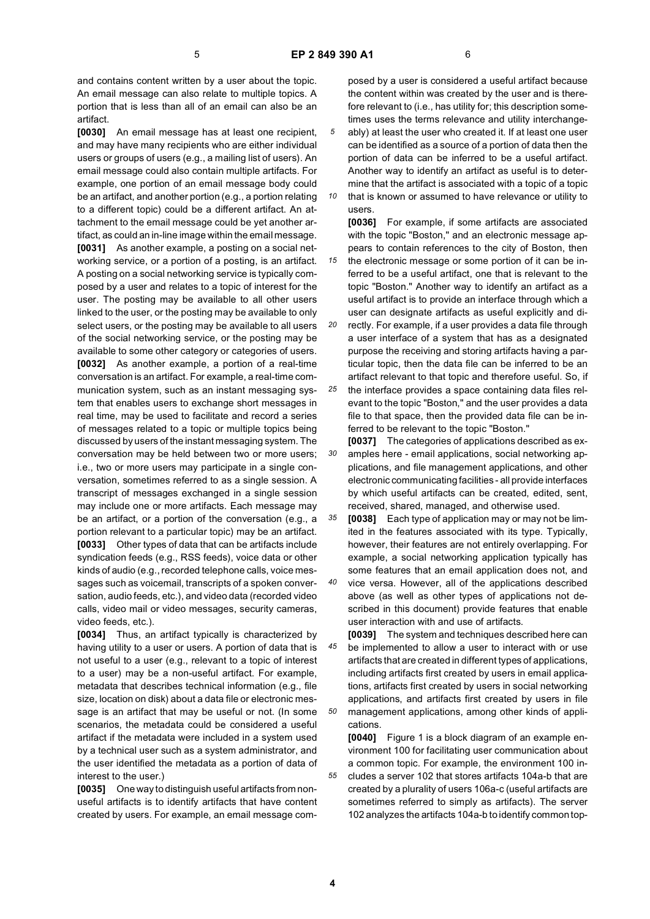*15*

and contains content written by a user about the topic. An email message can also relate to multiple topics. A portion that is less than all of an email can also be an artifact.

**[0030]** An email message has at least one recipient, and may have many recipients who are either individual users or groups of users (e.g., a mailing list of users). An email message could also contain multiple artifacts. For example, one portion of an email message body could be an artifact, and another portion (e.g., a portion relating to a different topic) could be a different artifact. An attachment to the email message could be yet another artifact, as could an in-line image within the email message. **[0031]** As another example, a posting on a social networking service, or a portion of a posting, is an artifact. A posting on a social networking service is typically composed by a user and relates to a topic of interest for the user. The posting may be available to all other users linked to the user, or the posting may be available to only select users, or the posting may be available to all users of the social networking service, or the posting may be available to some other category or categories of users. **[0032]** As another example, a portion of a real-time conversation is an artifact. For example, a real-time communication system, such as an instant messaging system that enables users to exchange short messages in real time, may be used to facilitate and record a series of messages related to a topic or multiple topics being discussed by users of the instant messaging system. The conversation may be held between two or more users; i.e., two or more users may participate in a single conversation, sometimes referred to as a single session. A transcript of messages exchanged in a single session may include one or more artifacts. Each message may be an artifact, or a portion of the conversation (e.g., a portion relevant to a particular topic) may be an artifact. **[0033]** Other types of data that can be artifacts include syndication feeds (e.g., RSS feeds), voice data or other kinds of audio (e.g., recorded telephone calls, voice messages such as voicemail, transcripts of a spoken conversation, audio feeds, etc.), and video data (recorded video calls, video mail or video messages, security cameras, video feeds, etc.).

**[0034]** Thus, an artifact typically is characterized by having utility to a user or users. A portion of data that is not useful to a user (e.g., relevant to a topic of interest to a user) may be a non-useful artifact. For example, metadata that describes technical information (e.g., file size, location on disk) about a data file or electronic message is an artifact that may be useful or not. (In some scenarios, the metadata could be considered a useful artifact if the metadata were included in a system used by a technical user such as a system administrator, and the user identified the metadata as a portion of data of interest to the user.)

**[0035]** One way to distinguish useful artifacts from nonuseful artifacts is to identify artifacts that have content created by users. For example, an email message com-

posed by a user is considered a useful artifact because the content within was created by the user and is therefore relevant to (i.e., has utility for; this description sometimes uses the terms relevance and utility interchangeably) at least the user who created it. If at least one user can be identified as a source of a portion of data then the portion of data can be inferred to be a useful artifact. Another way to identify an artifact as useful is to determine that the artifact is associated with a topic of a topic that is known or assumed to have relevance or utility to

*10* users.

**[0036]** For example, if some artifacts are associated with the topic "Boston," and an electronic message appears to contain references to the city of Boston, then the electronic message or some portion of it can be in-

ferred to be a useful artifact, one that is relevant to the topic "Boston." Another way to identify an artifact as a useful artifact is to provide an interface through which a user can designate artifacts as useful explicitly and di-

*20* rectly. For example, if a user provides a data file through a user interface of a system that has as a designated purpose the receiving and storing artifacts having a particular topic, then the data file can be inferred to be an artifact relevant to that topic and therefore useful. So, if

*25* the interface provides a space containing data files relevant to the topic "Boston," and the user provides a data file to that space, then the provided data file can be inferred to be relevant to the topic "Boston."

*30* **[0037]** The categories of applications described as examples here - email applications, social networking applications, and file management applications, and other electronic communicating facilities - all provide interfaces by which useful artifacts can be created, edited, sent, received, shared, managed, and otherwise used.

*35* **[0038]** Each type of application may or may not be limited in the features associated with its type. Typically, however, their features are not entirely overlapping. For example, a social networking application typically has some features that an email application does not, and

*40* vice versa. However, all of the applications described above (as well as other types of applications not described in this document) provide features that enable user interaction with and use of artifacts.

*45 50* **[0039]** The system and techniques described here can be implemented to allow a user to interact with or use artifacts that are created in different types of applications, including artifacts first created by users in email applications, artifacts first created by users in social networking applications, and artifacts first created by users in file management applications, among other kinds of applications.

**[0040]** Figure 1 is a block diagram of an example environment 100 for facilitating user communication about a common topic. For example, the environment 100 includes a server 102 that stores artifacts 104a-b that are created by a plurality of users 106a-c (useful artifacts are sometimes referred to simply as artifacts). The server 102 analyzes the artifacts 104a-b to identify common top-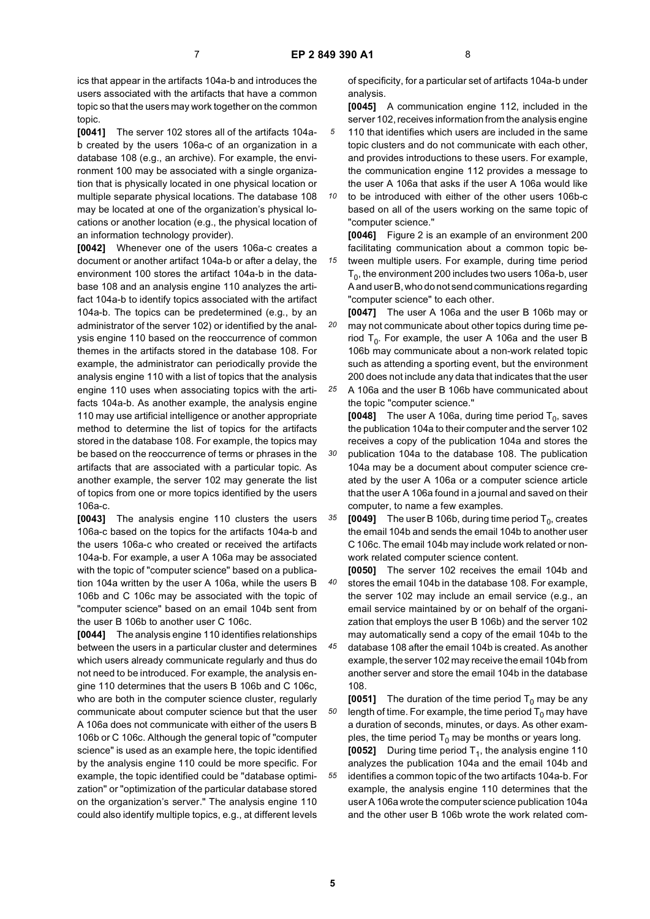ics that appear in the artifacts 104a-b and introduces the users associated with the artifacts that have a common topic so that the users may work together on the common topic.

**[0041]** The server 102 stores all of the artifacts 104ab created by the users 106a-c of an organization in a database 108 (e.g., an archive). For example, the environment 100 may be associated with a single organization that is physically located in one physical location or multiple separate physical locations. The database 108 may be located at one of the organization's physical locations or another location (e.g., the physical location of an information technology provider).

**[0042]** Whenever one of the users 106a-c creates a document or another artifact 104a-b or after a delay, the environment 100 stores the artifact 104a-b in the database 108 and an analysis engine 110 analyzes the artifact 104a-b to identify topics associated with the artifact 104a-b. The topics can be predetermined (e.g., by an administrator of the server 102) or identified by the analysis engine 110 based on the reoccurrence of common themes in the artifacts stored in the database 108. For example, the administrator can periodically provide the analysis engine 110 with a list of topics that the analysis engine 110 uses when associating topics with the artifacts 104a-b. As another example, the analysis engine 110 may use artificial intelligence or another appropriate method to determine the list of topics for the artifacts stored in the database 108. For example, the topics may be based on the reoccurrence of terms or phrases in the artifacts that are associated with a particular topic. As another example, the server 102 may generate the list of topics from one or more topics identified by the users 106a-c.

**[0043]** The analysis engine 110 clusters the users 106a-c based on the topics for the artifacts 104a-b and the users 106a-c who created or received the artifacts 104a-b. For example, a user A 106a may be associated with the topic of "computer science" based on a publication 104a written by the user A 106a, while the users B 106b and C 106c may be associated with the topic of "computer science" based on an email 104b sent from the user B 106b to another user C 106c.

**[0044]** The analysis engine 110 identifies relationships between the users in a particular cluster and determines which users already communicate regularly and thus do not need to be introduced. For example, the analysis engine 110 determines that the users B 106b and C 106c, who are both in the computer science cluster, regularly communicate about computer science but that the user A 106a does not communicate with either of the users B 106b or C 106c. Although the general topic of "computer science" is used as an example here, the topic identified by the analysis engine 110 could be more specific. For example, the topic identified could be "database optimization" or "optimization of the particular database stored on the organization's server." The analysis engine 110 could also identify multiple topics, e.g., at different levels

of specificity, for a particular set of artifacts 104a-b under analysis.

**[0045]** A communication engine 112, included in the server 102, receives information from the analysis engine

- *5* 110 that identifies which users are included in the same topic clusters and do not communicate with each other, and provides introductions to these users. For example, the communication engine 112 provides a message to the user A 106a that asks if the user A 106a would like
- *10* to be introduced with either of the other users 106b-c based on all of the users working on the same topic of "computer science."

**[0046]** Figure 2 is an example of an environment 200 facilitating communication about a common topic be-

tween multiple users. For example, during time period  $T<sub>0</sub>$ , the environment 200 includes two users 106a-b, user A and user B, who do not send communications regarding "computer science" to each other.

*20* **[0047]** The user A 106a and the user B 106b may or may not communicate about other topics during time period  $T_0$ . For example, the user A 106a and the user B 106b may communicate about a non-work related topic such as attending a sporting event, but the environment 200 does not include any data that indicates that the user

*25* A 106a and the user B 106b have communicated about the topic "computer science."

*30* **[0048]** The user A 106a, during time period  $T_0$ , saves the publication 104a to their computer and the server 102 receives a copy of the publication 104a and stores the publication 104a to the database 108. The publication 104a may be a document about computer science created by the user A 106a or a computer science article that the user A 106a found in a journal and saved on their computer, to name a few examples.

*35* **[0049]** The user B 106b, during time period  $T_0$ , creates the email 104b and sends the email 104b to another user C 106c. The email 104b may include work related or nonwork related computer science content.

*40* **[0050]** The server 102 receives the email 104b and stores the email 104b in the database 108. For example, the server 102 may include an email service (e.g., an email service maintained by or on behalf of the organization that employs the user B 106b) and the server 102 may automatically send a copy of the email 104b to the

*45* database 108 after the email 104b is created. As another example, the server 102 may receive the email 104b from another server and store the email 104b in the database 108.

**[0051]** The duration of the time period  $T_0$  may be any length of time. For example, the time period  $T_0$  may have a duration of seconds, minutes, or days. As other examples, the time period  $T_0$  may be months or years long.

**[0052]** During time period T<sub>1</sub>, the analysis engine 110 analyzes the publication 104a and the email 104b and identifies a common topic of the two artifacts 104a-b. For example, the analysis engine 110 determines that the user A 106a wrote the computer science publication 104a and the other user B 106b wrote the work related com-

*50*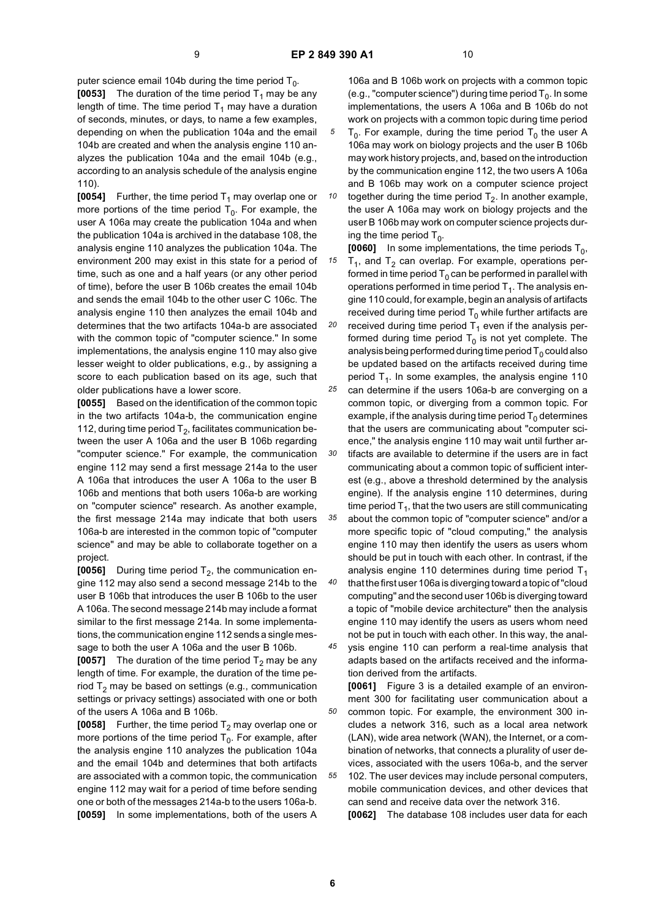*30*

puter science email 104b during the time period  $T_0$ .

**[0053]** The duration of the time period  $T_1$  may be any length of time. The time period  $T_1$  may have a duration of seconds, minutes, or days, to name a few examples, depending on when the publication 104a and the email 104b are created and when the analysis engine 110 analyzes the publication 104a and the email 104b (e.g., according to an analysis schedule of the analysis engine 110).

**[0054]** Further, the time period  $T_1$  may overlap one or more portions of the time period  $T_0$ . For example, the user A 106a may create the publication 104a and when the publication 104a is archived in the database 108, the analysis engine 110 analyzes the publication 104a. The environment 200 may exist in this state for a period of time, such as one and a half years (or any other period of time), before the user B 106b creates the email 104b and sends the email 104b to the other user C 106c. The analysis engine 110 then analyzes the email 104b and determines that the two artifacts 104a-b are associated with the common topic of "computer science." In some implementations, the analysis engine 110 may also give lesser weight to older publications, e.g., by assigning a score to each publication based on its age, such that older publications have a lower score.

**[0055]** Based on the identification of the common topic in the two artifacts 104a-b, the communication engine 112, during time period  $T_2$ , facilitates communication between the user A 106a and the user B 106b regarding "computer science." For example, the communication engine 112 may send a first message 214a to the user A 106a that introduces the user A 106a to the user B 106b and mentions that both users 106a-b are working on "computer science" research. As another example, the first message 214a may indicate that both users 106a-b are interested in the common topic of "computer science" and may be able to collaborate together on a project.

**[0056]** During time period  $T_2$ , the communication engine 112 may also send a second message 214b to the user B 106b that introduces the user B 106b to the user A 106a. The second message 214b may include a format similar to the first message 214a. In some implementations, the communication engine 112 sends a single message to both the user A 106a and the user B 106b.

**[0057]** The duration of the time period  $T_2$  may be any length of time. For example, the duration of the time period  $T_2$  may be based on settings (e.g., communication settings or privacy settings) associated with one or both of the users A 106a and B 106b.

**[0058]** Further, the time period  $T_2$  may overlap one or more portions of the time period  $T_0$ . For example, after the analysis engine 110 analyzes the publication 104a and the email 104b and determines that both artifacts are associated with a common topic, the communication engine 112 may wait for a period of time before sending one or both of the messages 214a-b to the users 106a-b. **[0059]** In some implementations, both of the users A

106a and B 106b work on projects with a common topic (e.g., "computer science") during time period  $T_0$ . In some implementations, the users A 106a and B 106b do not work on projects with a common topic during time period

 $T_0$ . For example, during the time period  $T_0$  the user A 106a may work on biology projects and the user B 106b may work history projects, and, based on the introduction by the communication engine 112, the two users A 106a and B 106b may work on a computer science project

*10* together during the time period  $T_2$ . In another example, the user A 106a may work on biology projects and the user B 106b may work on computer science projects during the time period  $T_0$ .

*15 20 25* **[0060]** In some implementations, the time periods  $T_0$ ,  $T_1$ , and  $T_2$  can overlap. For example, operations performed in time period  $T_0$  can be performed in parallel with operations performed in time period  $T_1$ . The analysis engine 110 could, for example, begin an analysis of artifacts received during time period  $T_0$  while further artifacts are received during time period  $T_1$  even if the analysis performed during time period  $T_0$  is not yet complete. The analysis being performed during time period  $T_0$  could also be updated based on the artifacts received during time period  $T_4$ . In some examples, the analysis engine 110 can determine if the users 106a-b are converging on a common topic, or diverging from a common topic. For example, if the analysis during time period  $T_0$  determines

that the users are communicating about "computer science," the analysis engine 110 may wait until further artifacts are available to determine if the users are in fact communicating about a common topic of sufficient interest (e.g., above a threshold determined by the analysis

*35 40* engine). If the analysis engine 110 determines, during time period  $T_1$ , that the two users are still communicating about the common topic of "computer science" and/or a more specific topic of "cloud computing," the analysis engine 110 may then identify the users as users whom should be put in touch with each other. In contrast, if the analysis engine 110 determines during time period  $T_1$ that the first user 106a is diverging toward a topic of "cloud computing" and the second user 106b is diverging toward a topic of "mobile device architecture" then the analysis engine 110 may identify the users as users whom need not be put in touch with each other. In this way, the anal-

*45* ysis engine 110 can perform a real-time analysis that adapts based on the artifacts received and the information derived from the artifacts.

*50* **[0061]** Figure 3 is a detailed example of an environment 300 for facilitating user communication about a common topic. For example, the environment 300 includes a network 316, such as a local area network (LAN), wide area network (WAN), the Internet, or a combination of networks, that connects a plurality of user devices, associated with the users 106a-b, and the server

*55* 102. The user devices may include personal computers, mobile communication devices, and other devices that can send and receive data over the network 316.

**[0062]** The database 108 includes user data for each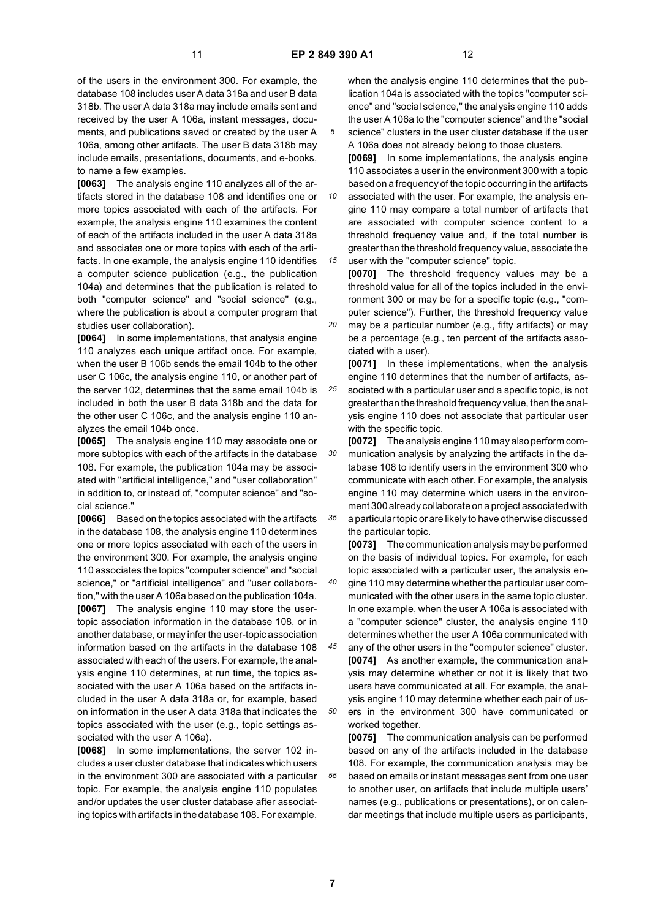of the users in the environment 300. For example, the database 108 includes user A data 318a and user B data 318b. The user A data 318a may include emails sent and received by the user A 106a, instant messages, documents, and publications saved or created by the user A 106a, among other artifacts. The user B data 318b may include emails, presentations, documents, and e-books, to name a few examples.

**[0063]** The analysis engine 110 analyzes all of the artifacts stored in the database 108 and identifies one or more topics associated with each of the artifacts. For example, the analysis engine 110 examines the content of each of the artifacts included in the user A data 318a and associates one or more topics with each of the artifacts. In one example, the analysis engine 110 identifies a computer science publication (e.g., the publication 104a) and determines that the publication is related to both "computer science" and "social science" (e.g., where the publication is about a computer program that studies user collaboration).

**[0064]** In some implementations, that analysis engine 110 analyzes each unique artifact once. For example, when the user B 106b sends the email 104b to the other user C 106c, the analysis engine 110, or another part of the server 102, determines that the same email 104b is included in both the user B data 318b and the data for the other user C 106c, and the analysis engine 110 analyzes the email 104b once.

**[0065]** The analysis engine 110 may associate one or more subtopics with each of the artifacts in the database 108. For example, the publication 104a may be associated with "artificial intelligence," and "user collaboration" in addition to, or instead of, "computer science" and "social science."

**[0066]** Based on the topics associated with the artifacts in the database 108, the analysis engine 110 determines one or more topics associated with each of the users in the environment 300. For example, the analysis engine 110 associates the topics "computer science" and "social science," or "artificial intelligence" and "user collaboration," with the user A 106a based on the publication 104a. **[0067]** The analysis engine 110 may store the usertopic association information in the database 108, or in another database, or may infer the user-topic association information based on the artifacts in the database 108 associated with each of the users. For example, the analysis engine 110 determines, at run time, the topics associated with the user A 106a based on the artifacts included in the user A data 318a or, for example, based on information in the user A data 318a that indicates the topics associated with the user (e.g., topic settings associated with the user A 106a).

**[0068]** In some implementations, the server 102 includes a user cluster database that indicates which users in the environment 300 are associated with a particular topic. For example, the analysis engine 110 populates and/or updates the user cluster database after associating topics with artifacts in the database 108. For example,

when the analysis engine 110 determines that the publication 104a is associated with the topics "computer science" and "social science," the analysis engine 110 adds the user A 106a to the "computer science" and the "social science" clusters in the user cluster database if the user

A 106a does not already belong to those clusters. **[0069]** In some implementations, the analysis engine 110 associates a user in the environment 300 with a topic based on a frequency of the topic occurring in the artifacts

*10 15* associated with the user. For example, the analysis engine 110 may compare a total number of artifacts that are associated with computer science content to a threshold frequency value and, if the total number is greater than the threshold frequency value, associate the user with the "computer science" topic.

**[0070]** The threshold frequency values may be a threshold value for all of the topics included in the environment 300 or may be for a specific topic (e.g., "computer science"). Further, the threshold frequency value may be a particular number (e.g., fifty artifacts) or may

*20* be a percentage (e.g., ten percent of the artifacts associated with a user).

*25* **[0071]** In these implementations, when the analysis engine 110 determines that the number of artifacts, associated with a particular user and a specific topic, is not greater than the threshold frequency value, then the analysis engine 110 does not associate that particular user with the specific topic.

*30 35* **[0072]** The analysis engine 110 may also perform communication analysis by analyzing the artifacts in the database 108 to identify users in the environment 300 who communicate with each other. For example, the analysis engine 110 may determine which users in the environment 300 already collaborate on a project associated with a particular topic or are likely to have otherwise discussed the particular topic.

**[0073]** The communication analysis may be performed on the basis of individual topics. For example, for each topic associated with a particular user, the analysis en-

*40* gine 110 may determine whether the particular user communicated with the other users in the same topic cluster. In one example, when the user A 106a is associated with a "computer science" cluster, the analysis engine 110 determines whether the user A 106a communicated with

*45 50* any of the other users in the "computer science" cluster. **[0074]** As another example, the communication analysis may determine whether or not it is likely that two users have communicated at all. For example, the analysis engine 110 may determine whether each pair of users in the environment 300 have communicated or

*55* worked together. **[0075]** The communication analysis can be performed based on any of the artifacts included in the database 108. For example, the communication analysis may be based on emails or instant messages sent from one user

to another user, on artifacts that include multiple users' names (e.g., publications or presentations), or on calendar meetings that include multiple users as participants,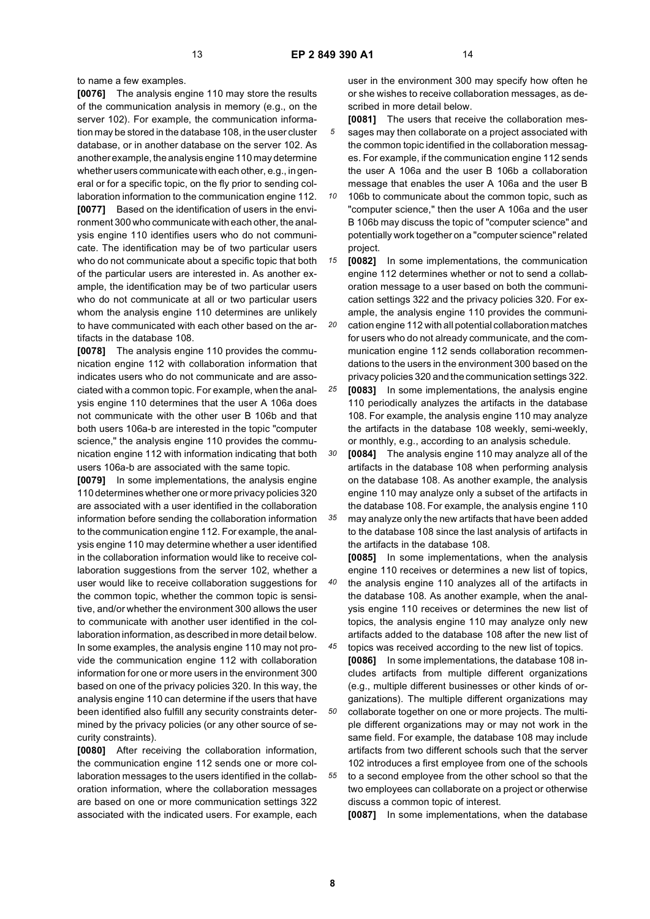to name a few examples.

**[0076]** The analysis engine 110 may store the results of the communication analysis in memory (e.g., on the server 102). For example, the communication information may be stored in the database 108, in the user cluster database, or in another database on the server 102. As another example, the analysis engine 110 may determine whether users communicate with each other, e.g., in general or for a specific topic, on the fly prior to sending collaboration information to the communication engine 112. **[0077]** Based on the identification of users in the environment 300 who communicate with each other, the analysis engine 110 identifies users who do not communicate. The identification may be of two particular users who do not communicate about a specific topic that both of the particular users are interested in. As another example, the identification may be of two particular users who do not communicate at all or two particular users whom the analysis engine 110 determines are unlikely to have communicated with each other based on the artifacts in the database 108.

**[0078]** The analysis engine 110 provides the communication engine 112 with collaboration information that indicates users who do not communicate and are associated with a common topic. For example, when the analysis engine 110 determines that the user A 106a does not communicate with the other user B 106b and that both users 106a-b are interested in the topic "computer science," the analysis engine 110 provides the communication engine 112 with information indicating that both users 106a-b are associated with the same topic.

**[0079]** In some implementations, the analysis engine 110 determines whether one or more privacy policies 320 are associated with a user identified in the collaboration information before sending the collaboration information to the communication engine 112. For example, the analysis engine 110 may determine whether a user identified in the collaboration information would like to receive collaboration suggestions from the server 102, whether a user would like to receive collaboration suggestions for the common topic, whether the common topic is sensitive, and/or whether the environment 300 allows the user to communicate with another user identified in the collaboration information, as described in more detail below. In some examples, the analysis engine 110 may not provide the communication engine 112 with collaboration information for one or more users in the environment 300 based on one of the privacy policies 320. In this way, the analysis engine 110 can determine if the users that have been identified also fulfill any security constraints determined by the privacy policies (or any other source of security constraints).

**[0080]** After receiving the collaboration information, the communication engine 112 sends one or more collaboration messages to the users identified in the collaboration information, where the collaboration messages are based on one or more communication settings 322 associated with the indicated users. For example, each

user in the environment 300 may specify how often he or she wishes to receive collaboration messages, as described in more detail below.

- *5* **[0081]** The users that receive the collaboration messages may then collaborate on a project associated with the common topic identified in the collaboration messages. For example, if the communication engine 112 sends the user A 106a and the user B 106b a collaboration message that enables the user A 106a and the user B
- *10* 106b to communicate about the common topic, such as "computer science," then the user A 106a and the user B 106b may discuss the topic of "computer science" and potentially work together on a "computer science" related project.

*15 20* **[0082]** In some implementations, the communication engine 112 determines whether or not to send a collaboration message to a user based on both the communication settings 322 and the privacy policies 320. For example, the analysis engine 110 provides the communication engine 112 with all potential collaboration matches for users who do not already communicate, and the communication engine 112 sends collaboration recommen-

*25* dations to the users in the environment 300 based on the privacy policies 320 and the communication settings 322. **[0083]** In some implementations, the analysis engine 110 periodically analyzes the artifacts in the database 108. For example, the analysis engine 110 may analyze the artifacts in the database 108 weekly, semi-weekly,

*30 35* or monthly, e.g., according to an analysis schedule. **[0084]** The analysis engine 110 may analyze all of the artifacts in the database 108 when performing analysis on the database 108. As another example, the analysis engine 110 may analyze only a subset of the artifacts in the database 108. For example, the analysis engine 110

may analyze only the new artifacts that have been added to the database 108 since the last analysis of artifacts in the artifacts in the database 108.

*40* **[0085]** In some implementations, when the analysis engine 110 receives or determines a new list of topics, the analysis engine 110 analyzes all of the artifacts in the database 108. As another example, when the analysis engine 110 receives or determines the new list of topics, the analysis engine 110 may analyze only new artifacts added to the database 108 after the new list of

*45 50 55* topics was received according to the new list of topics. **[0086]** In some implementations, the database 108 includes artifacts from multiple different organizations (e.g., multiple different businesses or other kinds of organizations). The multiple different organizations may collaborate together on one or more projects. The multiple different organizations may or may not work in the same field. For example, the database 108 may include artifacts from two different schools such that the server 102 introduces a first employee from one of the schools to a second employee from the other school so that the two employees can collaborate on a project or otherwise discuss a common topic of interest.

**[0087]** In some implementations, when the database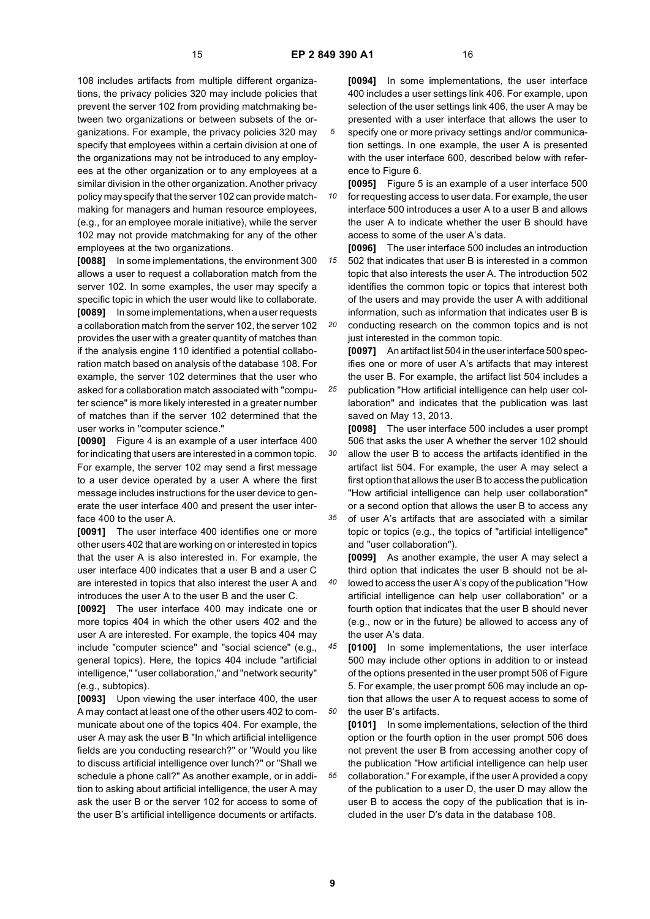108 includes artifacts from multiple different organizations, the privacy policies 320 may include policies that prevent the server 102 from providing matchmaking between two organizations or between subsets of the organizations. For example, the privacy policies 320 may specify that employees within a certain division at one of the organizations may not be introduced to any employees at the other organization or to any employees at a similar division in the other organization. Another privacy policy may specify that the server 102 can provide matchmaking for managers and human resource employees, (e.g., for an employee morale initiative), while the server 102 may not provide matchmaking for any of the other employees at the two organizations.

**[0088]** In some implementations, the environment 300 allows a user to request a collaboration match from the server 102. In some examples, the user may specify a specific topic in which the user would like to collaborate. **[0089]** In some implementations, when a user requests a collaboration match from the server 102, the server 102 provides the user with a greater quantity of matches than if the analysis engine 110 identified a potential collaboration match based on analysis of the database 108. For example, the server 102 determines that the user who asked for a collaboration match associated with "computer science" is more likely interested in a greater number of matches than if the server 102 determined that the user works in "computer science."

**[0090]** Figure 4 is an example of a user interface 400 for indicating that users are interested in a common topic. For example, the server 102 may send a first message to a user device operated by a user A where the first message includes instructions for the user device to generate the user interface 400 and present the user interface 400 to the user A.

**[0091]** The user interface 400 identifies one or more other users 402 that are working on or interested in topics that the user A is also interested in. For example, the user interface 400 indicates that a user B and a user C are interested in topics that also interest the user A and introduces the user A to the user B and the user C.

**[0092]** The user interface 400 may indicate one or more topics 404 in which the other users 402 and the user A are interested. For example, the topics 404 may include "computer science" and "social science" (e.g., general topics). Here, the topics 404 include "artificial intelligence," "user collaboration," and "network security" (e.g., subtopics).

**[0093]** Upon viewing the user interface 400, the user A may contact at least one of the other users 402 to communicate about one of the topics 404. For example, the user A may ask the user B "In which artificial intelligence fields are you conducting research?" or "Would you like to discuss artificial intelligence over lunch?" or "Shall we schedule a phone call?" As another example, or in addition to asking about artificial intelligence, the user A may ask the user B or the server 102 for access to some of the user B's artificial intelligence documents or artifacts.

**[0094]** In some implementations, the user interface 400 includes a user settings link 406. For example, upon selection of the user settings link 406, the user A may be presented with a user interface that allows the user to

- specify one or more privacy settings and/or communication settings. In one example, the user A is presented with the user interface 600, described below with reference to Figure 6.
- *10* **[0095]** Figure 5 is an example of a user interface 500 for requesting access to user data. For example, the user interface 500 introduces a user A to a user B and allows the user A to indicate whether the user B should have access to some of the user A's data.

*15 20* **[0096]** The user interface 500 includes an introduction 502 that indicates that user B is interested in a common topic that also interests the user A. The introduction 502 identifies the common topic or topics that interest both of the users and may provide the user A with additional information, such as information that indicates user B is conducting research on the common topics and is not

just interested in the common topic. **[0097]** An artifact list 504 in the user interface 500 specifies one or more of user A's artifacts that may interest

*25* the user B. For example, the artifact list 504 includes a publication "How artificial intelligence can help user collaboration" and indicates that the publication was last saved on May 13, 2013.

*30* **[0098]** The user interface 500 includes a user prompt 506 that asks the user A whether the server 102 should allow the user B to access the artifacts identified in the artifact list 504. For example, the user A may select a first option that allows the user B to access the publication "How artificial intelligence can help user collaboration" or a second option that allows the user B to access any

*35* of user A's artifacts that are associated with a similar topic or topics (e.g., the topics of "artificial intelligence" and "user collaboration").

*40* **[0099]** As another example, the user A may select a third option that indicates the user B should not be allowed to access the user A's copy of the publication "How artificial intelligence can help user collaboration" or a fourth option that indicates that the user B should never (e.g., now or in the future) be allowed to access any of the user A's data.

*45 50* **[0100]** In some implementations, the user interface 500 may include other options in addition to or instead of the options presented in the user prompt 506 of Figure 5. For example, the user prompt 506 may include an option that allows the user A to request access to some of the user B's artifacts.

*55* **[0101]** In some implementations, selection of the third option or the fourth option in the user prompt 506 does not prevent the user B from accessing another copy of the publication "How artificial intelligence can help user collaboration." For example, if the user A provided a copy of the publication to a user D, the user D may allow the user B to access the copy of the publication that is included in the user D's data in the database 108.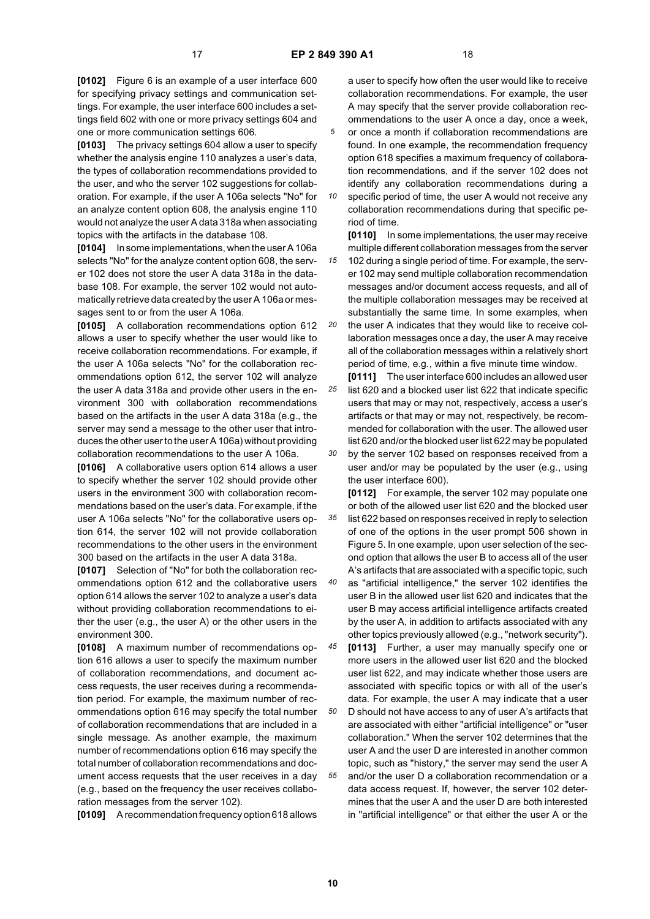*35*

**[0102]** Figure 6 is an example of a user interface 600 for specifying privacy settings and communication settings. For example, the user interface 600 includes a settings field 602 with one or more privacy settings 604 and one or more communication settings 606.

**[0103]** The privacy settings 604 allow a user to specify whether the analysis engine 110 analyzes a user's data, the types of collaboration recommendations provided to the user, and who the server 102 suggestions for collaboration. For example, if the user A 106a selects "No" for an analyze content option 608, the analysis engine 110 would not analyze the user A data 318a when associating topics with the artifacts in the database 108.

**[0104]** In some implementations, when the user A 106a selects "No" for the analyze content option 608, the server 102 does not store the user A data 318a in the database 108. For example, the server 102 would not automatically retrieve data created by the user A 106a or messages sent to or from the user A 106a.

**[0105]** A collaboration recommendations option 612 allows a user to specify whether the user would like to receive collaboration recommendations. For example, if the user A 106a selects "No" for the collaboration recommendations option 612, the server 102 will analyze the user A data 318a and provide other users in the environment 300 with collaboration recommendations based on the artifacts in the user A data 318a (e.g., the server may send a message to the other user that introduces the other user to the user A 106a) without providing collaboration recommendations to the user A 106a.

**[0106]** A collaborative users option 614 allows a user to specify whether the server 102 should provide other users in the environment 300 with collaboration recommendations based on the user's data. For example, if the user A 106a selects "No" for the collaborative users option 614, the server 102 will not provide collaboration recommendations to the other users in the environment 300 based on the artifacts in the user A data 318a.

**[0107]** Selection of "No" for both the collaboration recommendations option 612 and the collaborative users option 614 allows the server 102 to analyze a user's data without providing collaboration recommendations to either the user (e.g., the user A) or the other users in the environment 300.

**[0108]** A maximum number of recommendations option 616 allows a user to specify the maximum number of collaboration recommendations, and document access requests, the user receives during a recommendation period. For example, the maximum number of recommendations option 616 may specify the total number of collaboration recommendations that are included in a single message. As another example, the maximum number of recommendations option 616 may specify the total number of collaboration recommendations and document access requests that the user receives in a day (e.g., based on the frequency the user receives collaboration messages from the server 102).

**[0109]** A recommendation frequency option 618 allows

a user to specify how often the user would like to receive collaboration recommendations. For example, the user A may specify that the server provide collaboration recommendations to the user A once a day, once a week,

*5* or once a month if collaboration recommendations are found. In one example, the recommendation frequency option 618 specifies a maximum frequency of collaboration recommendations, and if the server 102 does not identify any collaboration recommendations during a

*10* specific period of time, the user A would not receive any collaboration recommendations during that specific period of time.

**[0110]** In some implementations, the user may receive multiple different collaboration messages from the server

102 during a single period of time. For example, the server 102 may send multiple collaboration recommendation messages and/or document access requests, and all of the multiple collaboration messages may be received at substantially the same time. In some examples, when

*20* the user A indicates that they would like to receive collaboration messages once a day, the user A may receive all of the collaboration messages within a relatively short period of time, e.g., within a five minute time window.

*25 30* **[0111]** The user interface 600 includes an allowed user list 620 and a blocked user list 622 that indicate specific users that may or may not, respectively, access a user's artifacts or that may or may not, respectively, be recommended for collaboration with the user. The allowed user list 620 and/or the blocked user list 622 may be populated by the server 102 based on responses received from a

user and/or may be populated by the user (e.g., using the user interface 600).

**[0112]** For example, the server 102 may populate one or both of the allowed user list 620 and the blocked user list 622 based on responses received in reply to selection of one of the options in the user prompt 506 shown in Figure 5. In one example, upon user selection of the second option that allows the user B to access all of the user A's artifacts that are associated with a specific topic, such

*40* as "artificial intelligence," the server 102 identifies the user B in the allowed user list 620 and indicates that the user B may access artificial intelligence artifacts created by the user A, in addition to artifacts associated with any other topics previously allowed (e.g., "network security").

*45 50 55* **[0113]** Further, a user may manually specify one or more users in the allowed user list 620 and the blocked user list 622, and may indicate whether those users are associated with specific topics or with all of the user's data. For example, the user A may indicate that a user D should not have access to any of user A's artifacts that are associated with either "artificial intelligence" or "user collaboration." When the server 102 determines that the user A and the user D are interested in another common topic, such as "history," the server may send the user A and/or the user D a collaboration recommendation or a data access request. If, however, the server 102 determines that the user A and the user D are both interested in "artificial intelligence" or that either the user A or the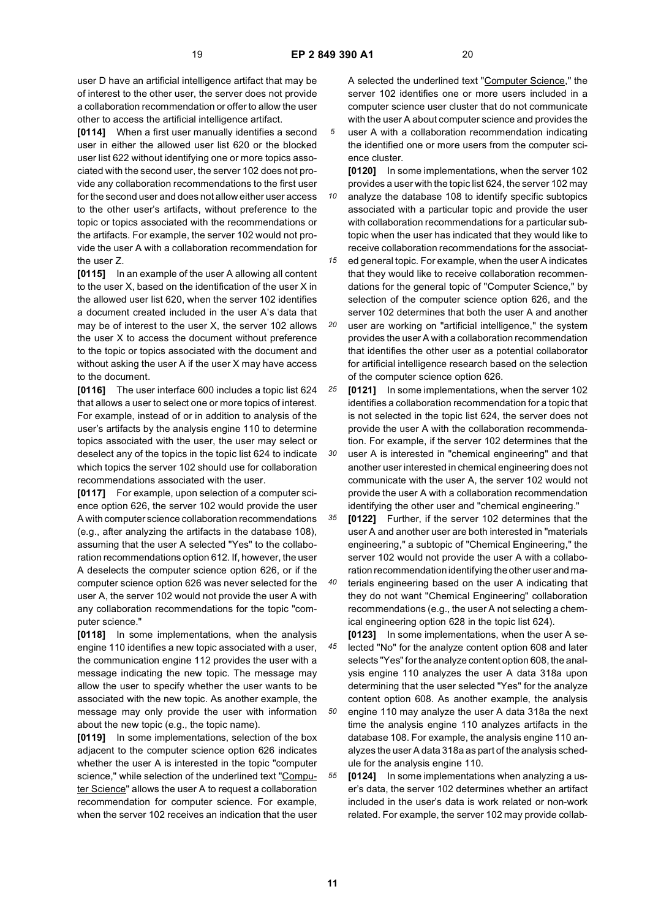**[0114]** When a first user manually identifies a second user in either the allowed user list 620 or the blocked user list 622 without identifying one or more topics associated with the second user, the server 102 does not provide any collaboration recommendations to the first user for the second user and does not allow either user access to the other user's artifacts, without preference to the topic or topics associated with the recommendations or the artifacts. For example, the server 102 would not provide the user A with a collaboration recommendation for the user Z.

**[0115]** In an example of the user A allowing all content to the user X, based on the identification of the user X in the allowed user list 620, when the server 102 identifies a document created included in the user A's data that may be of interest to the user X, the server 102 allows the user X to access the document without preference to the topic or topics associated with the document and without asking the user A if the user X may have access to the document.

**[0116]** The user interface 600 includes a topic list 624 that allows a user to select one or more topics of interest. For example, instead of or in addition to analysis of the user's artifacts by the analysis engine 110 to determine topics associated with the user, the user may select or deselect any of the topics in the topic list 624 to indicate which topics the server 102 should use for collaboration recommendations associated with the user.

**[0117]** For example, upon selection of a computer science option 626, the server 102 would provide the user A with computer science collaboration recommendations (e.g., after analyzing the artifacts in the database 108), assuming that the user A selected "Yes" to the collaboration recommendations option 612. If, however, the user A deselects the computer science option 626, or if the computer science option 626 was never selected for the user A, the server 102 would not provide the user A with any collaboration recommendations for the topic "computer science."

**[0118]** In some implementations, when the analysis engine 110 identifies a new topic associated with a user, the communication engine 112 provides the user with a message indicating the new topic. The message may allow the user to specify whether the user wants to be associated with the new topic. As another example, the message may only provide the user with information about the new topic (e.g., the topic name).

**[0119]** In some implementations, selection of the box adjacent to the computer science option 626 indicates whether the user A is interested in the topic "computer science," while selection of the underlined text "Computer Science" allows the user A to request a collaboration recommendation for computer science. For example, when the server 102 receives an indication that the user

A selected the underlined text "Computer Science," the server 102 identifies one or more users included in a computer science user cluster that do not communicate with the user A about computer science and provides the

user A with a collaboration recommendation indicating the identified one or more users from the computer science cluster.

**[0120]** In some implementations, when the server 102 provides a user with the topic list 624, the server 102 may analyze the database 108 to identify specific subtopics

*10* associated with a particular topic and provide the user with collaboration recommendations for a particular subtopic when the user has indicated that they would like to receive collaboration recommendations for the associat-

*15* ed general topic. For example, when the user A indicates that they would like to receive collaboration recommendations for the general topic of "Computer Science," by selection of the computer science option 626, and the server 102 determines that both the user A and another

*20* user are working on "artificial intelligence," the system provides the user A with a collaboration recommendation that identifies the other user as a potential collaborator for artificial intelligence research based on the selection of the computer science option 626.

*25* **[0121]** In some implementations, when the server 102 identifies a collaboration recommendation for a topic that is not selected in the topic list 624, the server does not provide the user A with the collaboration recommendation. For example, if the server 102 determines that the

*30* user A is interested in "chemical engineering" and that another user interested in chemical engineering does not communicate with the user A, the server 102 would not provide the user A with a collaboration recommendation identifying the other user and "chemical engineering."

*35* **[0122]** Further, if the server 102 determines that the user A and another user are both interested in "materials engineering," a subtopic of "Chemical Engineering," the server 102 would not provide the user A with a collaboration recommendation identifying the other user and ma-

*40* terials engineering based on the user A indicating that they do not want "Chemical Engineering" collaboration recommendations (e.g., the user A not selecting a chemical engineering option 628 in the topic list 624).

*45 50* **[0123]** In some implementations, when the user A selected "No" for the analyze content option 608 and later selects "Yes" for the analyze content option 608, the analysis engine 110 analyzes the user A data 318a upon determining that the user selected "Yes" for the analyze content option 608. As another example, the analysis engine 110 may analyze the user A data 318a the next time the analysis engine 110 analyzes artifacts in the database 108. For example, the analysis engine 110 analyzes the user A data 318a as part of the analysis schedule for the analysis engine 110.

*55* **[0124]** In some implementations when analyzing a user's data, the server 102 determines whether an artifact included in the user's data is work related or non-work related. For example, the server 102 may provide collab-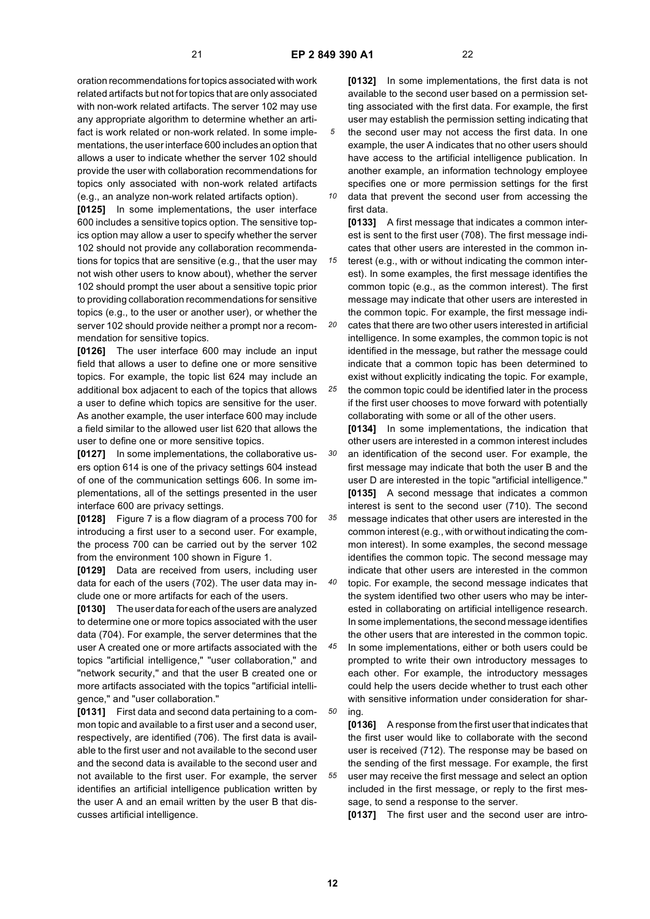*10*

first data.

oration recommendations for topics associated with work related artifacts but not for topics that are only associated with non-work related artifacts. The server 102 may use any appropriate algorithm to determine whether an artifact is work related or non-work related. In some implementations, the user interface 600 includes an option that allows a user to indicate whether the server 102 should provide the user with collaboration recommendations for topics only associated with non-work related artifacts (e.g., an analyze non-work related artifacts option).

**[0125]** In some implementations, the user interface 600 includes a sensitive topics option. The sensitive topics option may allow a user to specify whether the server 102 should not provide any collaboration recommendations for topics that are sensitive (e.g., that the user may not wish other users to know about), whether the server 102 should prompt the user about a sensitive topic prior to providing collaboration recommendations for sensitive topics (e.g., to the user or another user), or whether the server 102 should provide neither a prompt nor a recommendation for sensitive topics.

**[0126]** The user interface 600 may include an input field that allows a user to define one or more sensitive topics. For example, the topic list 624 may include an additional box adjacent to each of the topics that allows a user to define which topics are sensitive for the user. As another example, the user interface 600 may include a field similar to the allowed user list 620 that allows the user to define one or more sensitive topics.

**[0127]** In some implementations, the collaborative users option 614 is one of the privacy settings 604 instead of one of the communication settings 606. In some implementations, all of the settings presented in the user interface 600 are privacy settings.

**[0128]** Figure 7 is a flow diagram of a process 700 for introducing a first user to a second user. For example, the process 700 can be carried out by the server 102 from the environment 100 shown in Figure 1.

**[0129]** Data are received from users, including user data for each of the users (702). The user data may include one or more artifacts for each of the users.

**[0130]** The user data for each of the users are analyzed to determine one or more topics associated with the user data (704). For example, the server determines that the user A created one or more artifacts associated with the topics "artificial intelligence," "user collaboration," and "network security," and that the user B created one or more artifacts associated with the topics "artificial intelligence," and "user collaboration."

**[0131]** First data and second data pertaining to a common topic and available to a first user and a second user, respectively, are identified (706). The first data is available to the first user and not available to the second user and the second data is available to the second user and not available to the first user. For example, the server identifies an artificial intelligence publication written by the user A and an email written by the user B that discusses artificial intelligence.

**[0132]** In some implementations, the first data is not available to the second user based on a permission setting associated with the first data. For example, the first user may establish the permission setting indicating that the second user may not access the first data. In one example, the user A indicates that no other users should have access to the artificial intelligence publication. In another example, an information technology employee specifies one or more permission settings for the first data that prevent the second user from accessing the

**[0133]** A first message that indicates a common interest is sent to the first user (708). The first message indicates that other users are interested in the common in-

*15 20* terest (e.g., with or without indicating the common interest). In some examples, the first message identifies the common topic (e.g., as the common interest). The first message may indicate that other users are interested in the common topic. For example, the first message indicates that there are two other users interested in artificial intelligence. In some examples, the common topic is not

*25* indicate that a common topic has been determined to exist without explicitly indicating the topic. For example, the common topic could be identified later in the process if the first user chooses to move forward with potentially collaborating with some or all of the other users.

identified in the message, but rather the message could

*30 35 40* **[0134]** In some implementations, the indication that other users are interested in a common interest includes an identification of the second user. For example, the first message may indicate that both the user B and the user D are interested in the topic "artificial intelligence." **[0135]** A second message that indicates a common interest is sent to the second user (710). The second message indicates that other users are interested in the common interest (e.g., with or without indicating the common interest). In some examples, the second message identifies the common topic. The second message may indicate that other users are interested in the common topic. For example, the second message indicates that the system identified two other users who may be inter-

*45* ested in collaborating on artificial intelligence research. In some implementations, the second message identifies the other users that are interested in the common topic. In some implementations, either or both users could be

*50* prompted to write their own introductory messages to each other. For example, the introductory messages could help the users decide whether to trust each other with sensitive information under consideration for sharing.

**[0136]** A response from the first user that indicates that the first user would like to collaborate with the second user is received (712). The response may be based on the sending of the first message. For example, the first user may receive the first message and select an option included in the first message, or reply to the first message, to send a response to the server.

**[0137]** The first user and the second user are intro-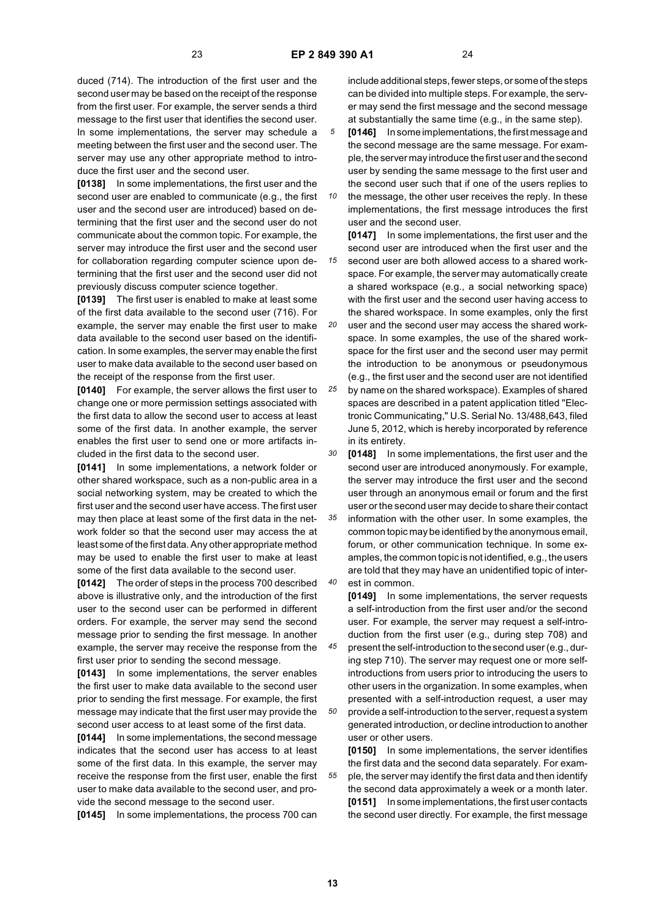duced (714). The introduction of the first user and the second user may be based on the receipt of the response from the first user. For example, the server sends a third message to the first user that identifies the second user. In some implementations, the server may schedule a meeting between the first user and the second user. The server may use any other appropriate method to introduce the first user and the second user.

**[0138]** In some implementations, the first user and the second user are enabled to communicate (e.g., the first user and the second user are introduced) based on determining that the first user and the second user do not communicate about the common topic. For example, the server may introduce the first user and the second user for collaboration regarding computer science upon determining that the first user and the second user did not previously discuss computer science together.

**[0139]** The first user is enabled to make at least some of the first data available to the second user (716). For example, the server may enable the first user to make data available to the second user based on the identification. In some examples, the server may enable the first user to make data available to the second user based on the receipt of the response from the first user.

**[0140]** For example, the server allows the first user to change one or more permission settings associated with the first data to allow the second user to access at least some of the first data. In another example, the server enables the first user to send one or more artifacts included in the first data to the second user.

**[0141]** In some implementations, a network folder or other shared workspace, such as a non-public area in a social networking system, may be created to which the first user and the second user have access. The first user may then place at least some of the first data in the network folder so that the second user may access the at least some of the first data. Any other appropriate method may be used to enable the first user to make at least some of the first data available to the second user.

**[0142]** The order of steps in the process 700 described above is illustrative only, and the introduction of the first user to the second user can be performed in different orders. For example, the server may send the second message prior to sending the first message. In another example, the server may receive the response from the first user prior to sending the second message.

**[0143]** In some implementations, the server enables the first user to make data available to the second user prior to sending the first message. For example, the first message may indicate that the first user may provide the second user access to at least some of the first data.

**[0144]** In some implementations, the second message indicates that the second user has access to at least some of the first data. In this example, the server may receive the response from the first user, enable the first user to make data available to the second user, and provide the second message to the second user.

**[0145]** In some implementations, the process 700 can

include additional steps, fewer steps, or some of the steps can be divided into multiple steps. For example, the server may send the first message and the second message at substantially the same time (e.g., in the same step).

*5* **[0146]** In some implementations, the first message and the second message are the same message. For example, the server may introduce the first user and the second user by sending the same message to the first user and the second user such that if one of the users replies to

*10* the message, the other user receives the reply. In these implementations, the first message introduces the first user and the second user.

*15* **[0147]** In some implementations, the first user and the second user are introduced when the first user and the second user are both allowed access to a shared workspace. For example, the server may automatically create a shared workspace (e.g., a social networking space) with the first user and the second user having access to the shared workspace. In some examples, only the first

*20* user and the second user may access the shared workspace. In some examples, the use of the shared workspace for the first user and the second user may permit the introduction to be anonymous or pseudonymous (e.g., the first user and the second user are not identified

*25* by name on the shared workspace). Examples of shared spaces are described in a patent application titled "Electronic Communicating," U.S. Serial No. 13/488,643, filed June 5, 2012, which is hereby incorporated by reference in its entirety.

*30* **[0148]** In some implementations, the first user and the second user are introduced anonymously. For example, the server may introduce the first user and the second user through an anonymous email or forum and the first user or the second user may decide to share their contact

*35 40* information with the other user. In some examples, the common topic may be identified by the anonymous email, forum, or other communication technique. In some examples, the common topic is not identified, e.g., the users are told that they may have an unidentified topic of interest in common.

**[0149]** In some implementations, the server requests a self-introduction from the first user and/or the second user. For example, the server may request a self-introduction from the first user (e.g., during step 708) and

*45 50* present the self-introduction to the second user (e.g., during step 710). The server may request one or more selfintroductions from users prior to introducing the users to other users in the organization. In some examples, when presented with a self-introduction request, a user may provide a self-introduction to the server, request a system generated introduction, or decline introduction to another

**[0150]** In some implementations, the server identifies the first data and the second data separately. For example, the server may identify the first data and then identify the second data approximately a week or a month later. **[0151]** In some implementations, the first user contacts the second user directly. For example, the first message

**13**

*55*

user or other users.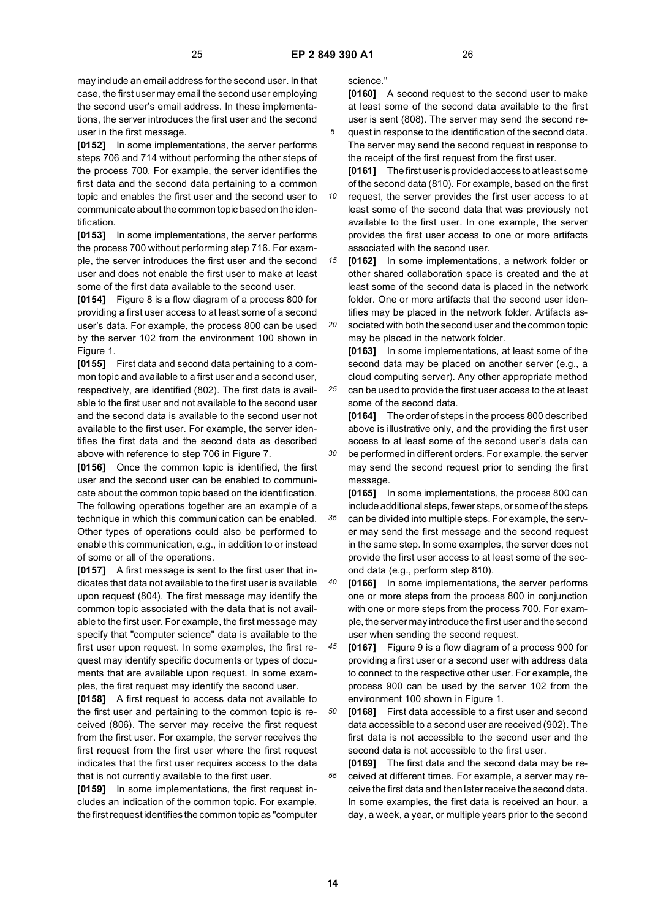*25*

*30*

may include an email address for the second user. In that case, the first user may email the second user employing the second user's email address. In these implementations, the server introduces the first user and the second user in the first message.

**[0152]** In some implementations, the server performs steps 706 and 714 without performing the other steps of the process 700. For example, the server identifies the first data and the second data pertaining to a common topic and enables the first user and the second user to communicate about the common topic based on the identification.

**[0153]** In some implementations, the server performs the process 700 without performing step 716. For example, the server introduces the first user and the second user and does not enable the first user to make at least some of the first data available to the second user.

**[0154]** Figure 8 is a flow diagram of a process 800 for providing a first user access to at least some of a second user's data. For example, the process 800 can be used by the server 102 from the environment 100 shown in Figure 1.

**[0155]** First data and second data pertaining to a common topic and available to a first user and a second user, respectively, are identified (802). The first data is available to the first user and not available to the second user and the second data is available to the second user not available to the first user. For example, the server identifies the first data and the second data as described above with reference to step 706 in Figure 7.

**[0156]** Once the common topic is identified, the first user and the second user can be enabled to communicate about the common topic based on the identification. The following operations together are an example of a technique in which this communication can be enabled. Other types of operations could also be performed to enable this communication, e.g., in addition to or instead of some or all of the operations.

**[0157]** A first message is sent to the first user that indicates that data not available to the first user is available upon request (804). The first message may identify the common topic associated with the data that is not available to the first user. For example, the first message may specify that "computer science" data is available to the first user upon request. In some examples, the first request may identify specific documents or types of documents that are available upon request. In some examples, the first request may identify the second user.

**[0158]** A first request to access data not available to the first user and pertaining to the common topic is received (806). The server may receive the first request from the first user. For example, the server receives the first request from the first user where the first request indicates that the first user requires access to the data that is not currently available to the first user.

**[0159]** In some implementations, the first request includes an indication of the common topic. For example, the first request identifies the common topic as "computer science."

**[0160]** A second request to the second user to make at least some of the second data available to the first user is sent (808). The server may send the second re-

quest in response to the identification of the second data. The server may send the second request in response to the receipt of the first request from the first user.

**[0161]** The first user is provided access to at least some of the second data (810). For example, based on the first

*10* request, the server provides the first user access to at least some of the second data that was previously not available to the first user. In one example, the server provides the first user access to one or more artifacts associated with the second user.

*15 20* **[0162]** In some implementations, a network folder or other shared collaboration space is created and the at least some of the second data is placed in the network folder. One or more artifacts that the second user identifies may be placed in the network folder. Artifacts associated with both the second user and the common topic

may be placed in the network folder. **[0163]** In some implementations, at least some of the

second data may be placed on another server (e.g., a cloud computing server). Any other appropriate method can be used to provide the first user access to the at least

some of the second data. **[0164]** The order of steps in the process 800 described above is illustrative only, and the providing the first user access to at least some of the second user's data can be performed in different orders. For example, the server may send the second request prior to sending the first message.

*35* **[0165]** In some implementations, the process 800 can include additional steps, fewer steps, or some of the steps can be divided into multiple steps. For example, the server may send the first message and the second request in the same step. In some examples, the server does not provide the first user access to at least some of the second data (e.g., perform step 810).

*40* **[0166]** In some implementations, the server performs one or more steps from the process 800 in conjunction with one or more steps from the process 700. For example, the server may introduce the first user and the second user when sending the second request.

*45* **[0167]** Figure 9 is a flow diagram of a process 900 for providing a first user or a second user with address data to connect to the respective other user. For example, the process 900 can be used by the server 102 from the environment 100 shown in Figure 1.

*50* **[0168]** First data accessible to a first user and second data accessible to a second user are received (902). The first data is not accessible to the second user and the second data is not accessible to the first user.

*55* **[0169]** The first data and the second data may be received at different times. For example, a server may receive the first data and then later receive the second data. In some examples, the first data is received an hour, a day, a week, a year, or multiple years prior to the second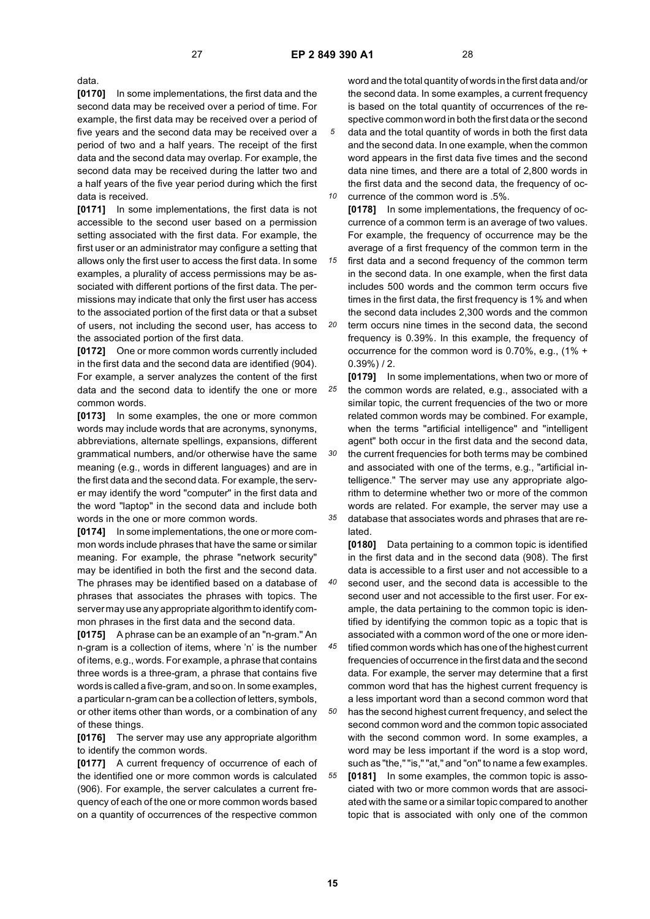data.

**[0170]** In some implementations, the first data and the second data may be received over a period of time. For example, the first data may be received over a period of five years and the second data may be received over a period of two and a half years. The receipt of the first data and the second data may overlap. For example, the second data may be received during the latter two and a half years of the five year period during which the first data is received.

**[0171]** In some implementations, the first data is not accessible to the second user based on a permission setting associated with the first data. For example, the first user or an administrator may configure a setting that allows only the first user to access the first data. In some examples, a plurality of access permissions may be associated with different portions of the first data. The permissions may indicate that only the first user has access to the associated portion of the first data or that a subset of users, not including the second user, has access to the associated portion of the first data.

**[0172]** One or more common words currently included in the first data and the second data are identified (904). For example, a server analyzes the content of the first data and the second data to identify the one or more common words.

**[0173]** In some examples, the one or more common words may include words that are acronyms, synonyms, abbreviations, alternate spellings, expansions, different grammatical numbers, and/or otherwise have the same meaning (e.g., words in different languages) and are in the first data and the second data. For example, the server may identify the word "computer" in the first data and the word "laptop" in the second data and include both words in the one or more common words.

**[0174]** In some implementations, the one or more common words include phrases that have the same or similar meaning. For example, the phrase "network security" may be identified in both the first and the second data. The phrases may be identified based on a database of phrases that associates the phrases with topics. The server may use any appropriate algorithm to identify common phrases in the first data and the second data.

**[0175]** A phrase can be an example of an "n-gram." An n-gram is a collection of items, where 'n' is the number of items, e.g., words. For example, a phrase that contains three words is a three-gram, a phrase that contains five words is called a five-gram, and so on. In some examples, a particular n-gram can be a collection of letters, symbols, or other items other than words, or a combination of any of these things.

**[0176]** The server may use any appropriate algorithm to identify the common words.

**[0177]** A current frequency of occurrence of each of the identified one or more common words is calculated (906). For example, the server calculates a current frequency of each of the one or more common words based on a quantity of occurrences of the respective common

word and the total quantity of words in the first data and/or the second data. In some examples, a current frequency is based on the total quantity of occurrences of the respective common word in both the first data or the second data and the total quantity of words in both the first data and the second data. In one example, when the common word appears in the first data five times and the second data nine times, and there are a total of 2,800 words in the first data and the second data, the frequency of occurrence of the common word is .5%.

*10 15 20* **[0178]** In some implementations, the frequency of occurrence of a common term is an average of two values. For example, the frequency of occurrence may be the average of a first frequency of the common term in the first data and a second frequency of the common term in the second data. In one example, when the first data includes 500 words and the common term occurs five times in the first data, the first frequency is 1% and when the second data includes 2,300 words and the common term occurs nine times in the second data, the second frequency is 0.39%. In this example, the frequency of occurrence for the common word is 0.70%, e.g., (1% +

*25 30 35* 0.39%) / 2. **[0179]** In some implementations, when two or more of the common words are related, e.g., associated with a similar topic, the current frequencies of the two or more related common words may be combined. For example, when the terms "artificial intelligence" and "intelligent agent" both occur in the first data and the second data, the current frequencies for both terms may be combined and associated with one of the terms, e.g., "artificial intelligence." The server may use any appropriate algorithm to determine whether two or more of the common words are related. For example, the server may use a database that associates words and phrases that are related.

**[0180]** Data pertaining to a common topic is identified in the first data and in the second data (908). The first data is accessible to a first user and not accessible to a second user, and the second data is accessible to the second user and not accessible to the first user. For example, the data pertaining to the common topic is identified by identifying the common topic as a topic that is associated with a common word of the one or more identified common words which has one of the highest current

*45 50* frequencies of occurrence in the first data and the second data. For example, the server may determine that a first common word that has the highest current frequency is a less important word than a second common word that has the second highest current frequency, and select the second common word and the common topic associated with the second common word. In some examples, a word may be less important if the word is a stop word, such as "the," "is," "at," and "on" to name a few examples.

*55* **[0181]** In some examples, the common topic is associated with two or more common words that are associated with the same or a similar topic compared to another topic that is associated with only one of the common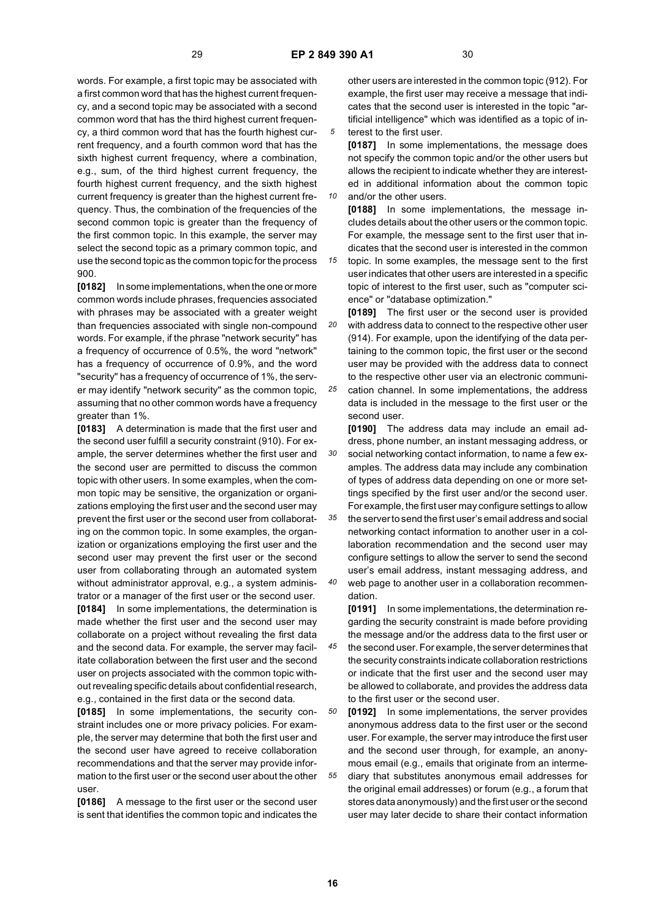*10*

words. For example, a first topic may be associated with a first common word that has the highest current frequency, and a second topic may be associated with a second common word that has the third highest current frequency, a third common word that has the fourth highest current frequency, and a fourth common word that has the sixth highest current frequency, where a combination, e.g., sum, of the third highest current frequency, the fourth highest current frequency, and the sixth highest current frequency is greater than the highest current frequency. Thus, the combination of the frequencies of the second common topic is greater than the frequency of the first common topic. In this example, the server may select the second topic as a primary common topic, and use the second topic as the common topic for the process 900.

**[0182]** In some implementations, when the one or more common words include phrases, frequencies associated with phrases may be associated with a greater weight than frequencies associated with single non-compound words. For example, if the phrase "network security" has a frequency of occurrence of 0.5%, the word "network" has a frequency of occurrence of 0.9%, and the word "security" has a frequency of occurrence of 1%, the server may identify "network security" as the common topic, assuming that no other common words have a frequency greater than 1%.

**[0183]** A determination is made that the first user and the second user fulfill a security constraint (910). For example, the server determines whether the first user and the second user are permitted to discuss the common topic with other users. In some examples, when the common topic may be sensitive, the organization or organizations employing the first user and the second user may prevent the first user or the second user from collaborating on the common topic. In some examples, the organization or organizations employing the first user and the second user may prevent the first user or the second user from collaborating through an automated system without administrator approval, e.g., a system administrator or a manager of the first user or the second user. **[0184]** In some implementations, the determination is made whether the first user and the second user may collaborate on a project without revealing the first data and the second data. For example, the server may facil-

itate collaboration between the first user and the second user on projects associated with the common topic without revealing specific details about confidential research, e.g., contained in the first data or the second data.

**[0185]** In some implementations, the security constraint includes one or more privacy policies. For example, the server may determine that both the first user and the second user have agreed to receive collaboration recommendations and that the server may provide information to the first user or the second user about the other user.

**[0186]** A message to the first user or the second user is sent that identifies the common topic and indicates the

other users are interested in the common topic (912). For example, the first user may receive a message that indicates that the second user is interested in the topic "artificial intelligence" which was identified as a topic of interest to the first user.

**[0187]** In some implementations, the message does not specify the common topic and/or the other users but allows the recipient to indicate whether they are interested in additional information about the common topic and/or the other users.

**[0188]** In some implementations, the message includes details about the other users or the common topic. For example, the message sent to the first user that indicates that the second user is interested in the common

*15* topic. In some examples, the message sent to the first user indicates that other users are interested in a specific topic of interest to the first user, such as "computer science" or "database optimization."

*20* **[0189]** The first user or the second user is provided with address data to connect to the respective other user (914). For example, upon the identifying of the data pertaining to the common topic, the first user or the second user may be provided with the address data to connect to the respective other user via an electronic communi-

*25* cation channel. In some implementations, the address data is included in the message to the first user or the second user.

*30* **[0190]** The address data may include an email address, phone number, an instant messaging address, or social networking contact information, to name a few examples. The address data may include any combination of types of address data depending on one or more settings specified by the first user and/or the second user. For example, the first user may configure settings to allow

*35 40* the server to send the first user's email address and social networking contact information to another user in a collaboration recommendation and the second user may configure settings to allow the server to send the second user's email address, instant messaging address, and web page to another user in a collaboration recommen-

dation. **[0191]** In some implementations, the determination regarding the security constraint is made before providing the message and/or the address data to the first user or

*45* the second user. For example, the server determines that the security constraints indicate collaboration restrictions or indicate that the first user and the second user may be allowed to collaborate, and provides the address data to the first user or the second user.

*50 55* **[0192]** In some implementations, the server provides anonymous address data to the first user or the second user. For example, the server may introduce the first user and the second user through, for example, an anonymous email (e.g., emails that originate from an intermediary that substitutes anonymous email addresses for the original email addresses) or forum (e.g., a forum that stores data anonymously) and the first user or the second user may later decide to share their contact information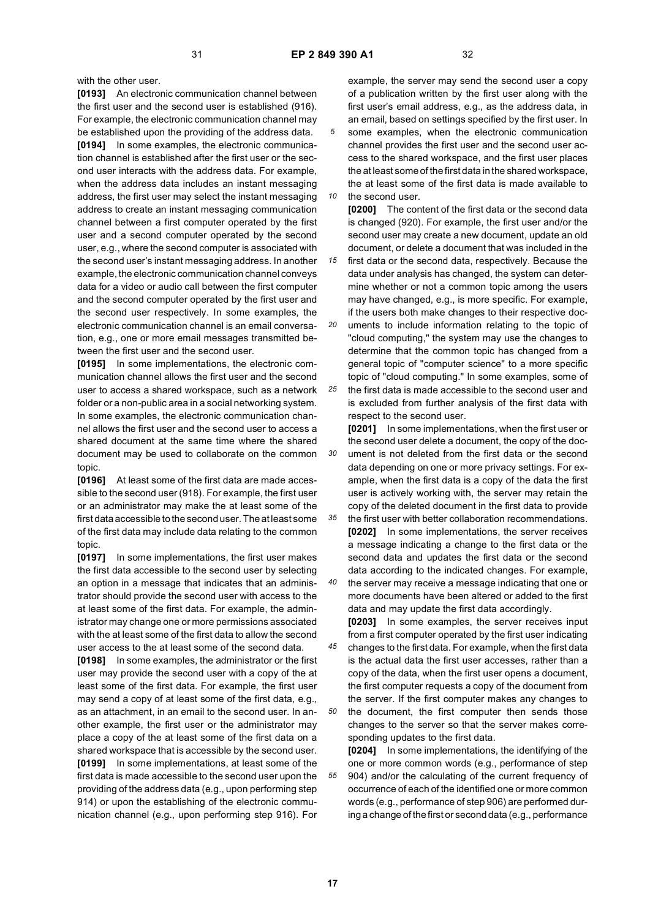*10*

*30*

with the other user.

**[0193]** An electronic communication channel between the first user and the second user is established (916). For example, the electronic communication channel may be established upon the providing of the address data. **[0194]** In some examples, the electronic communication channel is established after the first user or the second user interacts with the address data. For example, when the address data includes an instant messaging address, the first user may select the instant messaging address to create an instant messaging communication channel between a first computer operated by the first user and a second computer operated by the second user, e.g., where the second computer is associated with the second user's instant messaging address. In another example, the electronic communication channel conveys data for a video or audio call between the first computer and the second computer operated by the first user and the second user respectively. In some examples, the electronic communication channel is an email conversation, e.g., one or more email messages transmitted between the first user and the second user.

**[0195]** In some implementations, the electronic communication channel allows the first user and the second user to access a shared workspace, such as a network folder or a non-public area in a social networking system. In some examples, the electronic communication channel allows the first user and the second user to access a shared document at the same time where the shared document may be used to collaborate on the common topic.

**[0196]** At least some of the first data are made accessible to the second user (918). For example, the first user or an administrator may make the at least some of the first data accessible to the second user. The at least some of the first data may include data relating to the common topic.

**[0197]** In some implementations, the first user makes the first data accessible to the second user by selecting an option in a message that indicates that an administrator should provide the second user with access to the at least some of the first data. For example, the administrator may change one or more permissions associated with the at least some of the first data to allow the second user access to the at least some of the second data.

**[0198]** In some examples, the administrator or the first user may provide the second user with a copy of the at least some of the first data. For example, the first user may send a copy of at least some of the first data, e.g., as an attachment, in an email to the second user. In another example, the first user or the administrator may place a copy of the at least some of the first data on a shared workspace that is accessible by the second user. **[0199]** In some implementations, at least some of the first data is made accessible to the second user upon the providing of the address data (e.g., upon performing step 914) or upon the establishing of the electronic communication channel (e.g., upon performing step 916). For

example, the server may send the second user a copy of a publication written by the first user along with the first user's email address, e.g., as the address data, in an email, based on settings specified by the first user. In some examples, when the electronic communication channel provides the first user and the second user access to the shared workspace, and the first user places the at least some of the first data in the shared workspace, the at least some of the first data is made available to the second user.

**[0200]** The content of the first data or the second data is changed (920). For example, the first user and/or the second user may create a new document, update an old document, or delete a document that was included in the

*15* first data or the second data, respectively. Because the data under analysis has changed, the system can determine whether or not a common topic among the users may have changed, e.g., is more specific. For example, if the users both make changes to their respective doc-

*20 25* uments to include information relating to the topic of "cloud computing," the system may use the changes to determine that the common topic has changed from a general topic of "computer science" to a more specific topic of "cloud computing." In some examples, some of the first data is made accessible to the second user and

is excluded from further analysis of the first data with respect to the second user. **[0201]** In some implementations, when the first user or the second user delete a document, the copy of the document is not deleted from the first data or the second

data depending on one or more privacy settings. For example, when the first data is a copy of the data the first user is actively working with, the server may retain the copy of the deleted document in the first data to provide

*35* the first user with better collaboration recommendations. **[0202]** In some implementations, the server receives a message indicating a change to the first data or the second data and updates the first data or the second data according to the indicated changes. For example,

*40* the server may receive a message indicating that one or more documents have been altered or added to the first data and may update the first data accordingly.

**[0203]** In some examples, the server receives input from a first computer operated by the first user indicating

- *45* changes to the first data. For example, when the first data is the actual data the first user accesses, rather than a copy of the data, when the first user opens a document, the first computer requests a copy of the document from the server. If the first computer makes any changes to
- *50* the document, the first computer then sends those changes to the server so that the server makes corresponding updates to the first data.

*55* **[0204]** In some implementations, the identifying of the one or more common words (e.g., performance of step 904) and/or the calculating of the current frequency of occurrence of each of the identified one or more common words (e.g., performance of step 906) are performed during a change of the first or second data (e.g., performance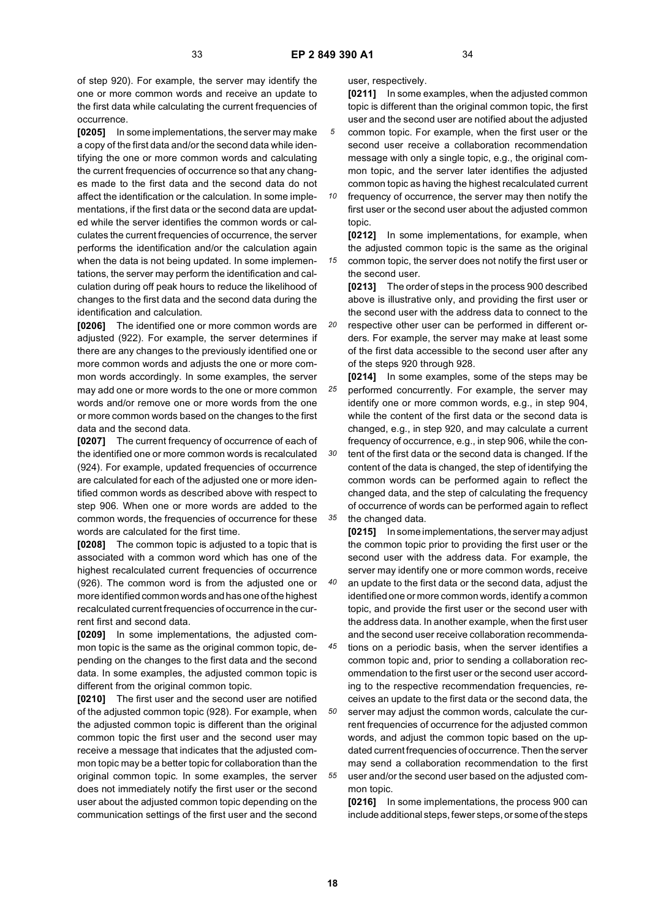*15*

of step 920). For example, the server may identify the one or more common words and receive an update to the first data while calculating the current frequencies of occurrence.

**[0205]** In some implementations, the server may make a copy of the first data and/or the second data while identifying the one or more common words and calculating the current frequencies of occurrence so that any changes made to the first data and the second data do not affect the identification or the calculation. In some implementations, if the first data or the second data are updated while the server identifies the common words or calculates the current frequencies of occurrence, the server performs the identification and/or the calculation again when the data is not being updated. In some implementations, the server may perform the identification and calculation during off peak hours to reduce the likelihood of changes to the first data and the second data during the identification and calculation.

**[0206]** The identified one or more common words are adjusted (922). For example, the server determines if there are any changes to the previously identified one or more common words and adjusts the one or more common words accordingly. In some examples, the server may add one or more words to the one or more common words and/or remove one or more words from the one or more common words based on the changes to the first data and the second data.

**[0207]** The current frequency of occurrence of each of the identified one or more common words is recalculated (924). For example, updated frequencies of occurrence are calculated for each of the adjusted one or more identified common words as described above with respect to step 906. When one or more words are added to the common words, the frequencies of occurrence for these words are calculated for the first time.

**[0208]** The common topic is adjusted to a topic that is associated with a common word which has one of the highest recalculated current frequencies of occurrence (926). The common word is from the adjusted one or more identified common words and has one of the highest recalculated current frequencies of occurrence in the current first and second data.

**[0209]** In some implementations, the adjusted common topic is the same as the original common topic, depending on the changes to the first data and the second data. In some examples, the adjusted common topic is different from the original common topic.

**[0210]** The first user and the second user are notified of the adjusted common topic (928). For example, when the adjusted common topic is different than the original common topic the first user and the second user may receive a message that indicates that the adjusted common topic may be a better topic for collaboration than the original common topic. In some examples, the server does not immediately notify the first user or the second user about the adjusted common topic depending on the communication settings of the first user and the second

user, respectively.

**[0211]** In some examples, when the adjusted common topic is different than the original common topic, the first user and the second user are notified about the adjusted common topic. For example, when the first user or the second user receive a collaboration recommendation

message with only a single topic, e.g., the original common topic, and the server later identifies the adjusted common topic as having the highest recalculated current

*10* frequency of occurrence, the server may then notify the first user or the second user about the adjusted common topic.

**[0212]** In some implementations, for example, when the adjusted common topic is the same as the original common topic, the server does not notify the first user or the second user.

**[0213]** The order of steps in the process 900 described above is illustrative only, and providing the first user or the second user with the address data to connect to the

*20* respective other user can be performed in different orders. For example, the server may make at least some of the first data accessible to the second user after any of the steps 920 through 928.

*25 30 35* **[0214]** In some examples, some of the steps may be performed concurrently. For example, the server may identify one or more common words, e.g., in step 904, while the content of the first data or the second data is changed, e.g., in step 920, and may calculate a current frequency of occurrence, e.g., in step 906, while the content of the first data or the second data is changed. If the content of the data is changed, the step of identifying the common words can be performed again to reflect the changed data, and the step of calculating the frequency of occurrence of words can be performed again to reflect the changed data.

**[0215]** In some implementations, the server may adjust the common topic prior to providing the first user or the second user with the address data. For example, the server may identify one or more common words, receive an update to the first data or the second data, adjust the identified one or more common words, identify a common topic, and provide the first user or the second user with the address data. In another example, when the first user and the second user receive collaboration recommenda-

*45* tions on a periodic basis, when the server identifies a common topic and, prior to sending a collaboration recommendation to the first user or the second user according to the respective recommendation frequencies, receives an update to the first data or the second data, the

*55* server may adjust the common words, calculate the current frequencies of occurrence for the adjusted common words, and adjust the common topic based on the updated current frequencies of occurrence. Then the server may send a collaboration recommendation to the first user and/or the second user based on the adjusted common topic.

**[0216]** In some implementations, the process 900 can include additional steps, fewer steps, or some of the steps

*50*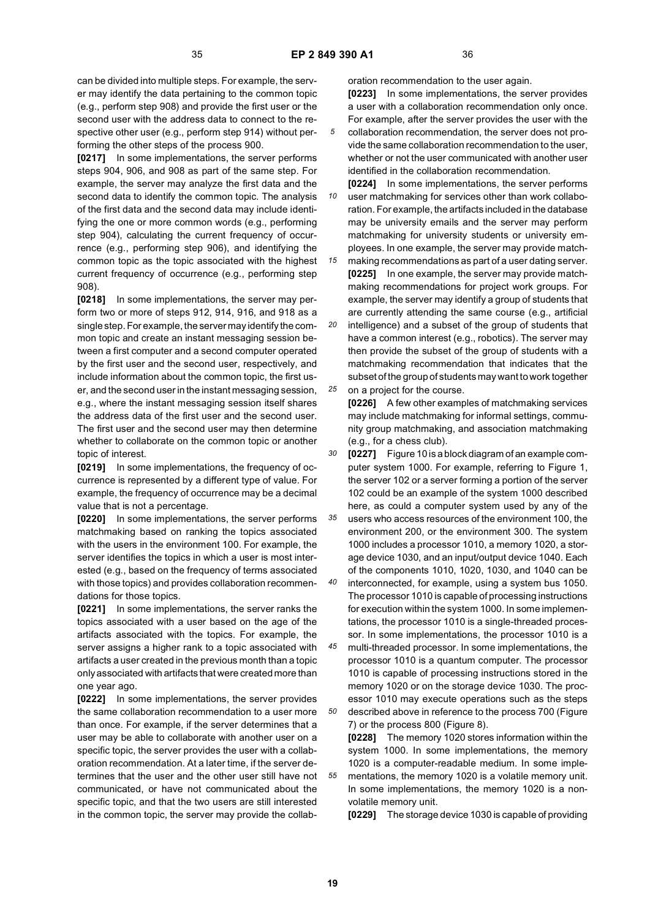can be divided into multiple steps. For example, the server may identify the data pertaining to the common topic (e.g., perform step 908) and provide the first user or the second user with the address data to connect to the respective other user (e.g., perform step 914) without performing the other steps of the process 900.

**[0217]** In some implementations, the server performs steps 904, 906, and 908 as part of the same step. For example, the server may analyze the first data and the second data to identify the common topic. The analysis of the first data and the second data may include identifying the one or more common words (e.g., performing step 904), calculating the current frequency of occurrence (e.g., performing step 906), and identifying the common topic as the topic associated with the highest current frequency of occurrence (e.g., performing step 908).

**[0218]** In some implementations, the server may perform two or more of steps 912, 914, 916, and 918 as a single step. For example, the server may identify the common topic and create an instant messaging session between a first computer and a second computer operated by the first user and the second user, respectively, and include information about the common topic, the first user, and the second user in the instant messaging session, e.g., where the instant messaging session itself shares the address data of the first user and the second user. The first user and the second user may then determine whether to collaborate on the common topic or another topic of interest.

**[0219]** In some implementations, the frequency of occurrence is represented by a different type of value. For example, the frequency of occurrence may be a decimal value that is not a percentage.

**[0220]** In some implementations, the server performs matchmaking based on ranking the topics associated with the users in the environment 100. For example, the server identifies the topics in which a user is most interested (e.g., based on the frequency of terms associated with those topics) and provides collaboration recommendations for those topics.

**[0221]** In some implementations, the server ranks the topics associated with a user based on the age of the artifacts associated with the topics. For example, the server assigns a higher rank to a topic associated with artifacts a user created in the previous month than a topic only associated with artifacts that were created more than one year ago.

**[0222]** In some implementations, the server provides the same collaboration recommendation to a user more than once. For example, if the server determines that a user may be able to collaborate with another user on a specific topic, the server provides the user with a collaboration recommendation. At a later time, if the server determines that the user and the other user still have not communicated, or have not communicated about the specific topic, and that the two users are still interested in the common topic, the server may provide the collaboration recommendation to the user again.

**[0223]** In some implementations, the server provides a user with a collaboration recommendation only once. For example, after the server provides the user with the collaboration recommendation, the server does not provide the same collaboration recommendation to the user, whether or not the user communicated with another user identified in the collaboration recommendation.

*10 15* **[0224]** In some implementations, the server performs user matchmaking for services other than work collaboration. For example, the artifacts included in the database may be university emails and the server may perform matchmaking for university students or university employees. In one example, the server may provide match-

*20* making recommendations as part of a user dating server. **[0225]** In one example, the server may provide matchmaking recommendations for project work groups. For example, the server may identify a group of students that are currently attending the same course (e.g., artificial intelligence) and a subset of the group of students that

*25* have a common interest (e.g., robotics). The server may then provide the subset of the group of students with a matchmaking recommendation that indicates that the subset of the group of students may want to work together on a project for the course.

**[0226]** A few other examples of matchmaking services may include matchmaking for informal settings, community group matchmaking, and association matchmaking (e.g., for a chess club).

*30* **[0227]** Figure 10 is a block diagram of an example computer system 1000. For example, referring to Figure 1, the server 102 or a server forming a portion of the server 102 could be an example of the system 1000 described here, as could a computer system used by any of the

*35 40* users who access resources of the environment 100, the environment 200, or the environment 300. The system 1000 includes a processor 1010, a memory 1020, a storage device 1030, and an input/output device 1040. Each of the components 1010, 1020, 1030, and 1040 can be

interconnected, for example, using a system bus 1050. The processor 1010 is capable of processing instructions for execution within the system 1000. In some implementations, the processor 1010 is a single-threaded processor. In some implementations, the processor 1010 is a

*45 50* multi-threaded processor. In some implementations, the processor 1010 is a quantum computer. The processor 1010 is capable of processing instructions stored in the memory 1020 or on the storage device 1030. The processor 1010 may execute operations such as the steps described above in reference to the process 700 (Figure

7) or the process 800 (Figure 8). **[0228]** The memory 1020 stores information within the system 1000. In some implementations, the memory 1020 is a computer-readable medium. In some implementations, the memory 1020 is a volatile memory unit. In some implementations, the memory 1020 is a nonvolatile memory unit.

**[0229]** The storage device 1030 is capable of providing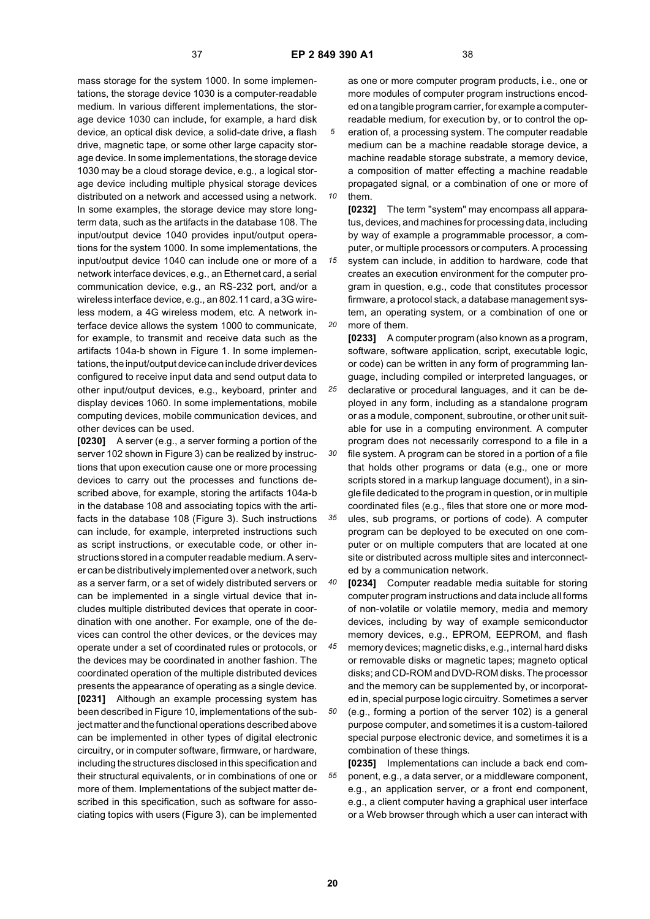mass storage for the system 1000. In some implementations, the storage device 1030 is a computer-readable medium. In various different implementations, the storage device 1030 can include, for example, a hard disk device, an optical disk device, a solid-date drive, a flash drive, magnetic tape, or some other large capacity storage device. In some implementations, the storage device 1030 may be a cloud storage device, e.g., a logical storage device including multiple physical storage devices distributed on a network and accessed using a network. In some examples, the storage device may store longterm data, such as the artifacts in the database 108. The input/output device 1040 provides input/output operations for the system 1000. In some implementations, the input/output device 1040 can include one or more of a network interface devices, e.g., an Ethernet card, a serial communication device, e.g., an RS-232 port, and/or a wireless interface device, e.g., an 802.11 card, a 3G wireless modem, a 4G wireless modem, etc. A network interface device allows the system 1000 to communicate, for example, to transmit and receive data such as the artifacts 104a-b shown in Figure 1. In some implementations, the input/output device can include driver devices configured to receive input data and send output data to other input/output devices, e.g., keyboard, printer and display devices 1060. In some implementations, mobile computing devices, mobile communication devices, and other devices can be used.

**[0230]** A server (e.g., a server forming a portion of the server 102 shown in Figure 3) can be realized by instructions that upon execution cause one or more processing devices to carry out the processes and functions described above, for example, storing the artifacts 104a-b in the database 108 and associating topics with the artifacts in the database 108 (Figure 3). Such instructions can include, for example, interpreted instructions such as script instructions, or executable code, or other instructions stored in a computer readable medium. A server can be distributively implemented over a network, such as a server farm, or a set of widely distributed servers or can be implemented in a single virtual device that includes multiple distributed devices that operate in coordination with one another. For example, one of the devices can control the other devices, or the devices may operate under a set of coordinated rules or protocols, or the devices may be coordinated in another fashion. The coordinated operation of the multiple distributed devices presents the appearance of operating as a single device. **[0231]** Although an example processing system has been described in Figure 10, implementations of the subject matter and the functional operations described above can be implemented in other types of digital electronic circuitry, or in computer software, firmware, or hardware, including the structures disclosed in this specification and their structural equivalents, or in combinations of one or more of them. Implementations of the subject matter described in this specification, such as software for associating topics with users (Figure 3), can be implemented

*10* as one or more computer program products, i.e., one or more modules of computer program instructions encoded on a tangible program carrier, for example a computerreadable medium, for execution by, or to control the operation of, a processing system. The computer readable medium can be a machine readable storage device, a machine readable storage substrate, a memory device, a composition of matter effecting a machine readable propagated signal, or a combination of one or more of them.

*15 20* **[0232]** The term "system" may encompass all apparatus, devices, and machines for processing data, including by way of example a programmable processor, a computer, or multiple processors or computers. A processing system can include, in addition to hardware, code that creates an execution environment for the computer program in question, e.g., code that constitutes processor firmware, a protocol stack, a database management system, an operating system, or a combination of one or more of them.

*25* **[0233]** A computer program (also known as a program, software, software application, script, executable logic, or code) can be written in any form of programming language, including compiled or interpreted languages, or declarative or procedural languages, and it can be deployed in any form, including as a standalone program or as a module, component, subroutine, or other unit suit-

*30* able for use in a computing environment. A computer program does not necessarily correspond to a file in a file system. A program can be stored in a portion of a file that holds other programs or data (e.g., one or more scripts stored in a markup language document), in a single file dedicated to the program in question, or in multiple coordinated files (e.g., files that store one or more mod-

*35* ules, sub programs, or portions of code). A computer program can be deployed to be executed on one computer or on multiple computers that are located at one site or distributed across multiple sites and interconnected by a communication network.

*40* **[0234]** Computer readable media suitable for storing computer program instructions and data include all forms of non-volatile or volatile memory, media and memory devices, including by way of example semiconductor memory devices, e.g., EPROM, EEPROM, and flash

*45* memory devices; magnetic disks, e.g., internal hard disks or removable disks or magnetic tapes; magneto optical disks; and CD-ROM and DVD-ROM disks. The processor and the memory can be supplemented by, or incorporated in, special purpose logic circuitry. Sometimes a server

*50* (e.g., forming a portion of the server 102) is a general purpose computer, and sometimes it is a custom-tailored special purpose electronic device, and sometimes it is a combination of these things.

*55* **[0235]** Implementations can include a back end component, e.g., a data server, or a middleware component, e.g., an application server, or a front end component, e.g., a client computer having a graphical user interface or a Web browser through which a user can interact with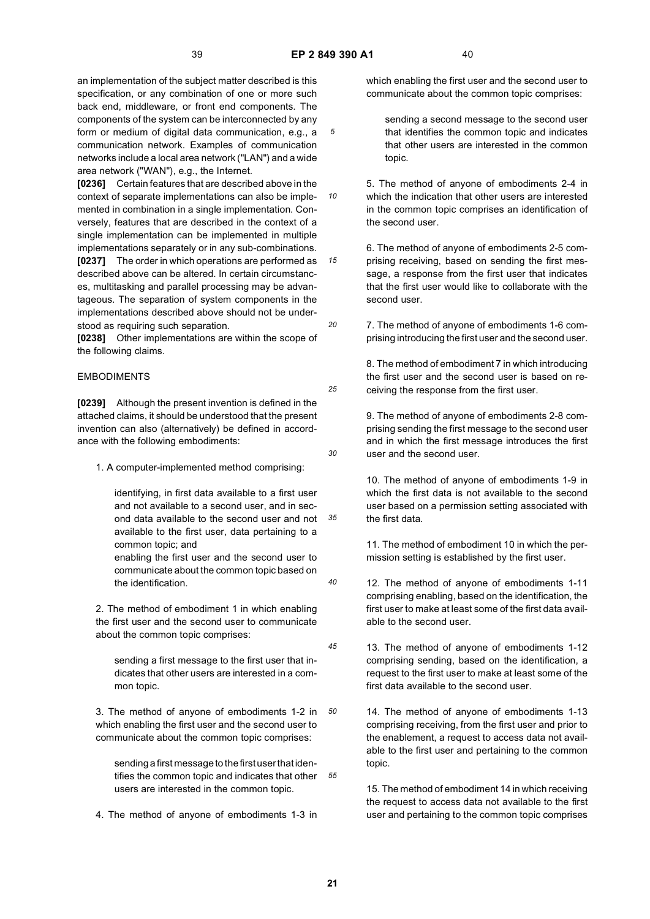*10*

*15*

*20*

*25*

*30*

*40*

*45*

an implementation of the subject matter described is this specification, or any combination of one or more such back end, middleware, or front end components. The components of the system can be interconnected by any form or medium of digital data communication, e.g., a communication network. Examples of communication networks include a local area network ("LAN") and a wide area network ("WAN"), e.g., the Internet.

**[0236]** Certain features that are described above in the context of separate implementations can also be implemented in combination in a single implementation. Conversely, features that are described in the context of a single implementation can be implemented in multiple implementations separately or in any sub-combinations. **[0237]** The order in which operations are performed as described above can be altered. In certain circumstances, multitasking and parallel processing may be advantageous. The separation of system components in the implementations described above should not be understood as requiring such separation.

**[0238]** Other implementations are within the scope of the following claims.

# EMBODIMENTS

**[0239]** Although the present invention is defined in the attached claims, it should be understood that the present invention can also (alternatively) be defined in accordance with the following embodiments:

1. A computer-implemented method comprising:

*35* identifying, in first data available to a first user and not available to a second user, and in second data available to the second user and not available to the first user, data pertaining to a common topic; and

enabling the first user and the second user to communicate about the common topic based on the identification.

2. The method of embodiment 1 in which enabling the first user and the second user to communicate about the common topic comprises:

sending a first message to the first user that indicates that other users are interested in a common topic.

*50* 3. The method of anyone of embodiments 1-2 in which enabling the first user and the second user to communicate about the common topic comprises:

*55* tifies the common topic and indicates that other sending a first message to the first user that idenusers are interested in the common topic.

4. The method of anyone of embodiments 1-3 in

which enabling the first user and the second user to communicate about the common topic comprises:

sending a second message to the second user that identifies the common topic and indicates that other users are interested in the common topic.

5. The method of anyone of embodiments 2-4 in which the indication that other users are interested in the common topic comprises an identification of the second user.

6. The method of anyone of embodiments 2-5 comprising receiving, based on sending the first message, a response from the first user that indicates that the first user would like to collaborate with the second user.

7. The method of anyone of embodiments 1-6 comprising introducing the first user and the second user.

8. The method of embodiment 7 in which introducing the first user and the second user is based on receiving the response from the first user.

9. The method of anyone of embodiments 2-8 comprising sending the first message to the second user and in which the first message introduces the first user and the second user.

10. The method of anyone of embodiments 1-9 in which the first data is not available to the second user based on a permission setting associated with the first data.

11. The method of embodiment 10 in which the permission setting is established by the first user.

- 12. The method of anyone of embodiments 1-11 comprising enabling, based on the identification, the first user to make at least some of the first data available to the second user.
- 13. The method of anyone of embodiments 1-12 comprising sending, based on the identification, a request to the first user to make at least some of the first data available to the second user.
	- 14. The method of anyone of embodiments 1-13 comprising receiving, from the first user and prior to the enablement, a request to access data not available to the first user and pertaining to the common topic.

15. The method of embodiment 14 in which receiving the request to access data not available to the first user and pertaining to the common topic comprises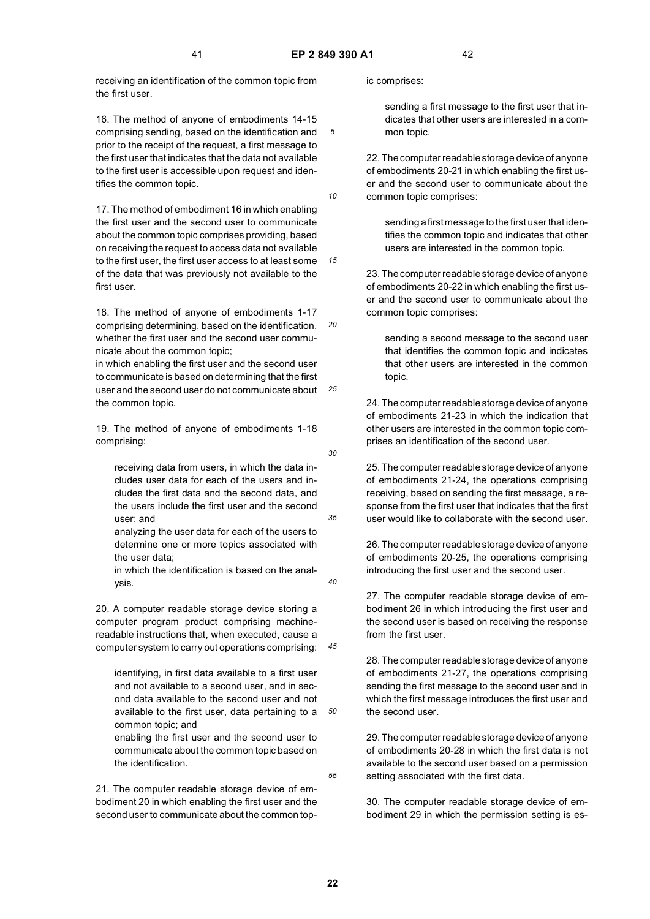*10*

*15*

*30*

*35*

*40*

*45*

*50*

*55*

receiving an identification of the common topic from the first user.

16. The method of anyone of embodiments 14-15 comprising sending, based on the identification and prior to the receipt of the request, a first message to the first user that indicates that the data not available to the first user is accessible upon request and identifies the common topic.

17. The method of embodiment 16 in which enabling the first user and the second user to communicate about the common topic comprises providing, based on receiving the request to access data not available to the first user, the first user access to at least some of the data that was previously not available to the first user.

*20* 18. The method of anyone of embodiments 1-17 comprising determining, based on the identification, whether the first user and the second user communicate about the common topic;

*25* in which enabling the first user and the second user to communicate is based on determining that the first user and the second user do not communicate about the common topic.

19. The method of anyone of embodiments 1-18 comprising:

receiving data from users, in which the data includes user data for each of the users and includes the first data and the second data, and the users include the first user and the second user; and

analyzing the user data for each of the users to determine one or more topics associated with the user data;

in which the identification is based on the analysis.

20. A computer readable storage device storing a computer program product comprising machinereadable instructions that, when executed, cause a computer system to carry out operations comprising:

identifying, in first data available to a first user and not available to a second user, and in second data available to the second user and not available to the first user, data pertaining to a common topic; and

enabling the first user and the second user to communicate about the common topic based on the identification.

21. The computer readable storage device of embodiment 20 in which enabling the first user and the second user to communicate about the common topic comprises:

sending a first message to the first user that indicates that other users are interested in a common topic.

22. The computer readable storage device of anyone of embodiments 20-21 in which enabling the first user and the second user to communicate about the common topic comprises:

sending a first message to the first user that identifies the common topic and indicates that other users are interested in the common topic.

23. The computer readable storage device of anyone of embodiments 20-22 in which enabling the first user and the second user to communicate about the common topic comprises:

sending a second message to the second user that identifies the common topic and indicates that other users are interested in the common topic.

24. The computer readable storage device of anyone of embodiments 21-23 in which the indication that other users are interested in the common topic comprises an identification of the second user.

25. The computer readable storage device of anyone of embodiments 21-24, the operations comprising receiving, based on sending the first message, a response from the first user that indicates that the first user would like to collaborate with the second user.

26. The computer readable storage device of anyone of embodiments 20-25, the operations comprising introducing the first user and the second user.

27. The computer readable storage device of embodiment 26 in which introducing the first user and the second user is based on receiving the response from the first user.

28. The computer readable storage device of anyone of embodiments 21-27, the operations comprising sending the first message to the second user and in which the first message introduces the first user and the second user.

29. The computer readable storage device of anyone of embodiments 20-28 in which the first data is not available to the second user based on a permission setting associated with the first data.

30. The computer readable storage device of embodiment 29 in which the permission setting is es-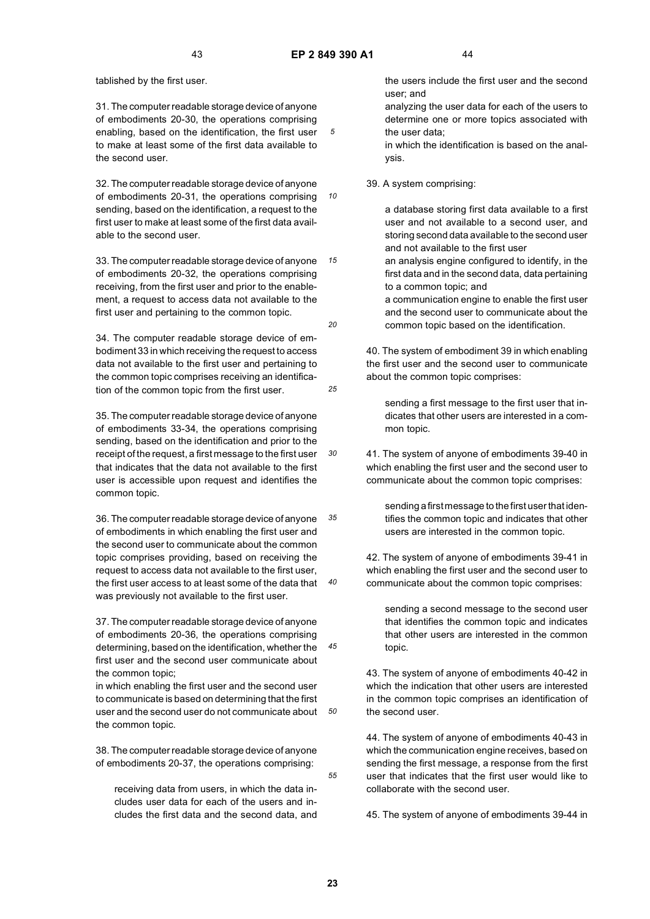*10*

*15*

*20*

*25*

*30*

*45*

tablished by the first user.

31. The computer readable storage device of anyone of embodiments 20-30, the operations comprising enabling, based on the identification, the first user to make at least some of the first data available to the second user.

32. The computer readable storage device of anyone of embodiments 20-31, the operations comprising sending, based on the identification, a request to the first user to make at least some of the first data available to the second user.

33. The computer readable storage device of anyone of embodiments 20-32, the operations comprising receiving, from the first user and prior to the enablement, a request to access data not available to the first user and pertaining to the common topic.

34. The computer readable storage device of embodiment 33 in which receiving the request to access data not available to the first user and pertaining to the common topic comprises receiving an identification of the common topic from the first user.

35. The computer readable storage device of anyone of embodiments 33-34, the operations comprising sending, based on the identification and prior to the receipt of the request, a first message to the first user that indicates that the data not available to the first user is accessible upon request and identifies the common topic.

*35 40* 36. The computer readable storage device of anyone of embodiments in which enabling the first user and the second user to communicate about the common topic comprises providing, based on receiving the request to access data not available to the first user, the first user access to at least some of the data that was previously not available to the first user.

37. The computer readable storage device of anyone of embodiments 20-36, the operations comprising determining, based on the identification, whether the first user and the second user communicate about the common topic;

*50* in which enabling the first user and the second user to communicate is based on determining that the first user and the second user do not communicate about the common topic.

38. The computer readable storage device of anyone of embodiments 20-37, the operations comprising:

receiving data from users, in which the data includes user data for each of the users and includes the first data and the second data, and the users include the first user and the second user; and

analyzing the user data for each of the users to determine one or more topics associated with the user data;

in which the identification is based on the analysis.

39. A system comprising:

a database storing first data available to a first user and not available to a second user, and storing second data available to the second user and not available to the first user

an analysis engine configured to identify, in the first data and in the second data, data pertaining to a common topic; and

a communication engine to enable the first user and the second user to communicate about the common topic based on the identification.

40. The system of embodiment 39 in which enabling the first user and the second user to communicate about the common topic comprises:

sending a first message to the first user that indicates that other users are interested in a common topic.

41. The system of anyone of embodiments 39-40 in which enabling the first user and the second user to communicate about the common topic comprises:

> sending a first message to the first user that identifies the common topic and indicates that other users are interested in the common topic.

42. The system of anyone of embodiments 39-41 in which enabling the first user and the second user to communicate about the common topic comprises:

sending a second message to the second user that identifies the common topic and indicates that other users are interested in the common topic.

43. The system of anyone of embodiments 40-42 in which the indication that other users are interested in the common topic comprises an identification of the second user.

44. The system of anyone of embodiments 40-43 in which the communication engine receives, based on sending the first message, a response from the first user that indicates that the first user would like to collaborate with the second user.

45. The system of anyone of embodiments 39-44 in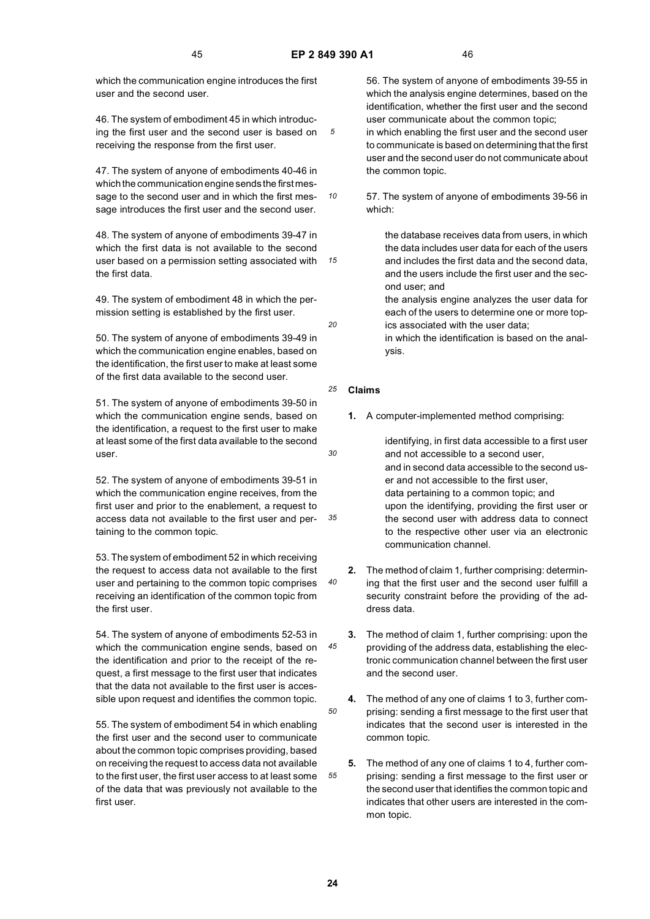*10*

*20*

*30*

*40*

*45*

*50*

*55*

which the communication engine introduces the first user and the second user.

46. The system of embodiment 45 in which introducing the first user and the second user is based on receiving the response from the first user.

47. The system of anyone of embodiments 40-46 in which the communication engine sends the first message to the second user and in which the first message introduces the first user and the second user.

*15* 48. The system of anyone of embodiments 39-47 in which the first data is not available to the second user based on a permission setting associated with the first data.

49. The system of embodiment 48 in which the permission setting is established by the first user.

50. The system of anyone of embodiments 39-49 in which the communication engine enables, based on the identification, the first user to make at least some of the first data available to the second user.

51. The system of anyone of embodiments 39-50 in which the communication engine sends, based on the identification, a request to the first user to make at least some of the first data available to the second user.

*35* 52. The system of anyone of embodiments 39-51 in which the communication engine receives, from the first user and prior to the enablement, a request to access data not available to the first user and pertaining to the common topic.

53. The system of embodiment 52 in which receiving the request to access data not available to the first user and pertaining to the common topic comprises receiving an identification of the common topic from the first user.

54. The system of anyone of embodiments 52-53 in which the communication engine sends, based on the identification and prior to the receipt of the request, a first message to the first user that indicates that the data not available to the first user is accessible upon request and identifies the common topic.

55. The system of embodiment 54 in which enabling the first user and the second user to communicate about the common topic comprises providing, based on receiving the request to access data not available to the first user, the first user access to at least some of the data that was previously not available to the first user.

56. The system of anyone of embodiments 39-55 in which the analysis engine determines, based on the identification, whether the first user and the second user communicate about the common topic; in which enabling the first user and the second user to communicate is based on determining that the first user and the second user do not communicate about the common topic.

57. The system of anyone of embodiments 39-56 in which:

> the database receives data from users, in which the data includes user data for each of the users and includes the first data and the second data, and the users include the first user and the second user; and

the analysis engine analyzes the user data for each of the users to determine one or more topics associated with the user data;

in which the identification is based on the analysis.

#### *25* **Claims**

**1.** A computer-implemented method comprising:

identifying, in first data accessible to a first user and not accessible to a second user, and in second data accessible to the second user and not accessible to the first user, data pertaining to a common topic; and upon the identifying, providing the first user or the second user with address data to connect to the respective other user via an electronic communication channel.

- **2.** The method of claim 1, further comprising: determining that the first user and the second user fulfill a security constraint before the providing of the address data.
- **3.** The method of claim 1, further comprising: upon the providing of the address data, establishing the electronic communication channel between the first user and the second user.
- **4.** The method of any one of claims 1 to 3, further comprising: sending a first message to the first user that indicates that the second user is interested in the common topic.
- **5.** The method of any one of claims 1 to 4, further comprising: sending a first message to the first user or the second user that identifies the common topic and indicates that other users are interested in the common topic.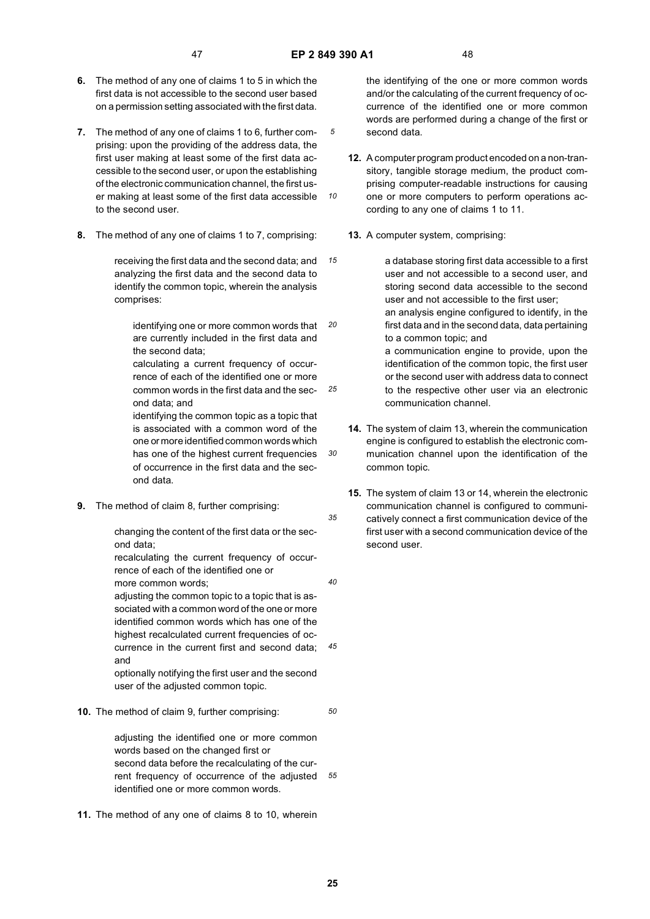*10*

*30*

*35*

*40*

*45*

*50*

- **6.** The method of any one of claims 1 to 5 in which the first data is not accessible to the second user based on a permission setting associated with the first data.
- **7.** The method of any one of claims 1 to 6, further comprising: upon the providing of the address data, the first user making at least some of the first data accessible to the second user, or upon the establishing of the electronic communication channel, the first user making at least some of the first data accessible to the second user.
- **8.** The method of any one of claims 1 to 7, comprising:

receiving the first data and the second data; and analyzing the first data and the second data to identify the common topic, wherein the analysis comprises:

identifying one or more common words that are currently included in the first data and the second data;

*25* calculating a current frequency of occurrence of each of the identified one or more common words in the first data and the second data; and

identifying the common topic as a topic that is associated with a common word of the one or more identified common words which has one of the highest current frequencies of occurrence in the first data and the second data.

**9.** The method of claim 8, further comprising:

changing the content of the first data or the second data;

recalculating the current frequency of occurrence of each of the identified one or more common words;

adjusting the common topic to a topic that is associated with a common word of the one or more identified common words which has one of the highest recalculated current frequencies of occurrence in the current first and second data; and

optionally notifying the first user and the second user of the adjusted common topic.

**10.** The method of claim 9, further comprising:

*55* rent frequency of occurrence of the adjusted adjusting the identified one or more common words based on the changed first or second data before the recalculating of the curidentified one or more common words.

**11.** The method of any one of claims 8 to 10, wherein

the identifying of the one or more common words and/or the calculating of the current frequency of occurrence of the identified one or more common words are performed during a change of the first or second data.

- **12.** A computer program product encoded on a non-transitory, tangible storage medium, the product comprising computer-readable instructions for causing one or more computers to perform operations according to any one of claims 1 to 11.
- **13.** A computer system, comprising:

*15 20* a database storing first data accessible to a first user and not accessible to a second user, and storing second data accessible to the second user and not accessible to the first user; an analysis engine configured to identify, in the first data and in the second data, data pertaining to a common topic; and a communication engine to provide, upon the identification of the common topic, the first user or the second user with address data to connect to the respective other user via an electronic communication channel.

- **14.** The system of claim 13, wherein the communication engine is configured to establish the electronic communication channel upon the identification of the common topic.
- **15.** The system of claim 13 or 14, wherein the electronic communication channel is configured to communicatively connect a first communication device of the first user with a second communication device of the second user.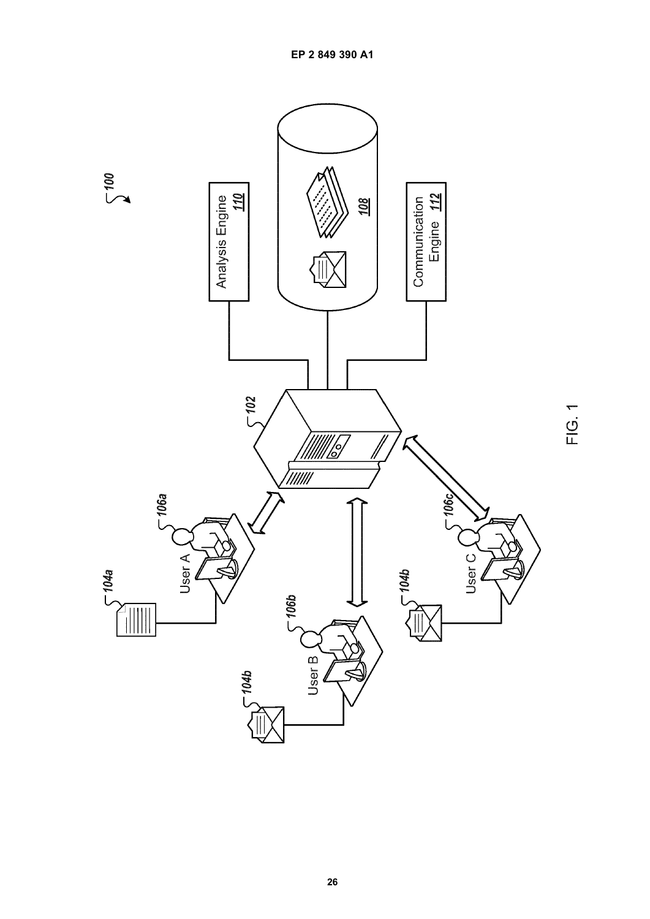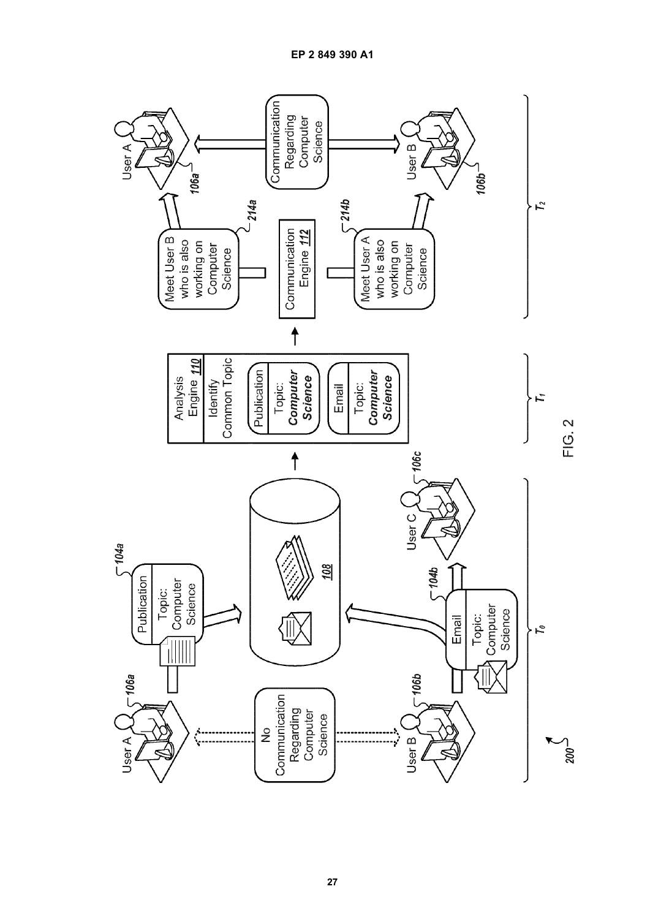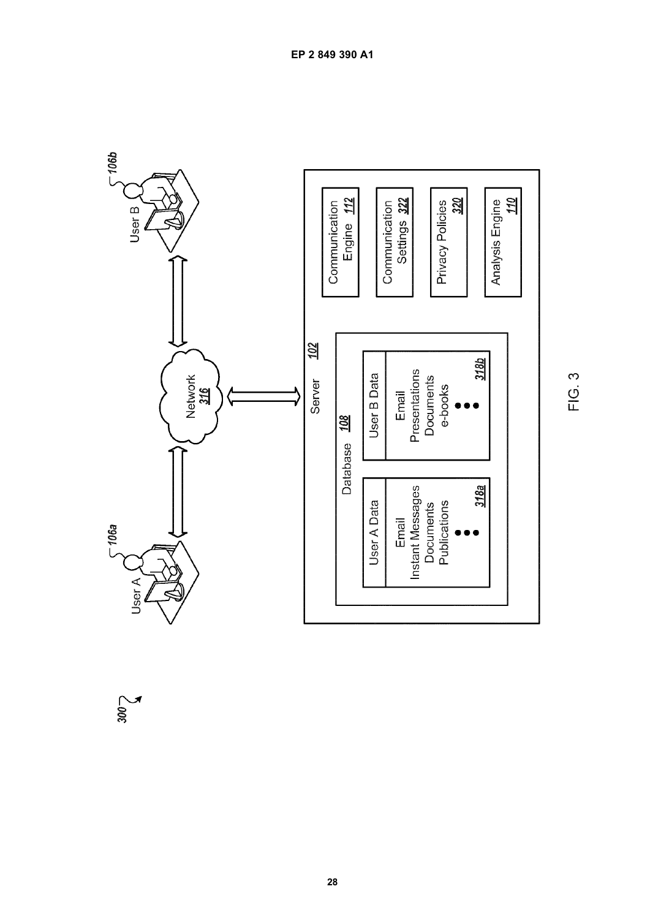

 $\sum_{\text{00C}}$ 

FIG. 3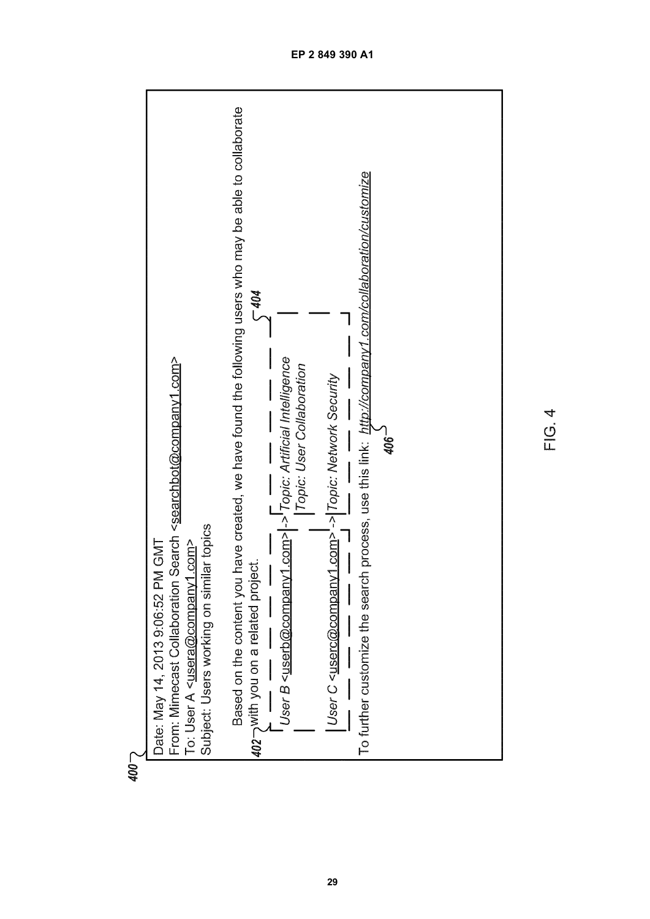

 $400 -$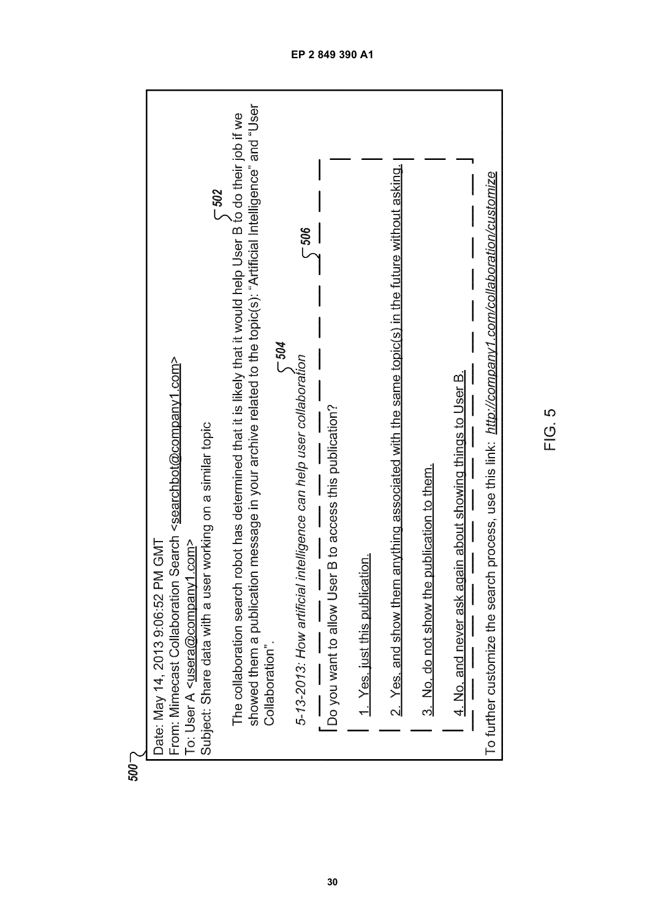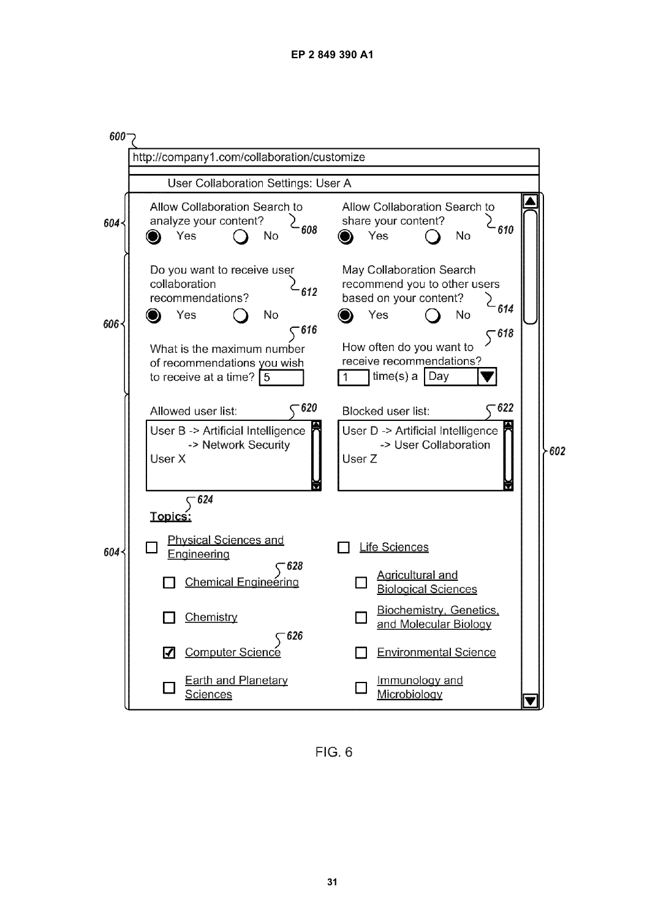

 $FIG. 6$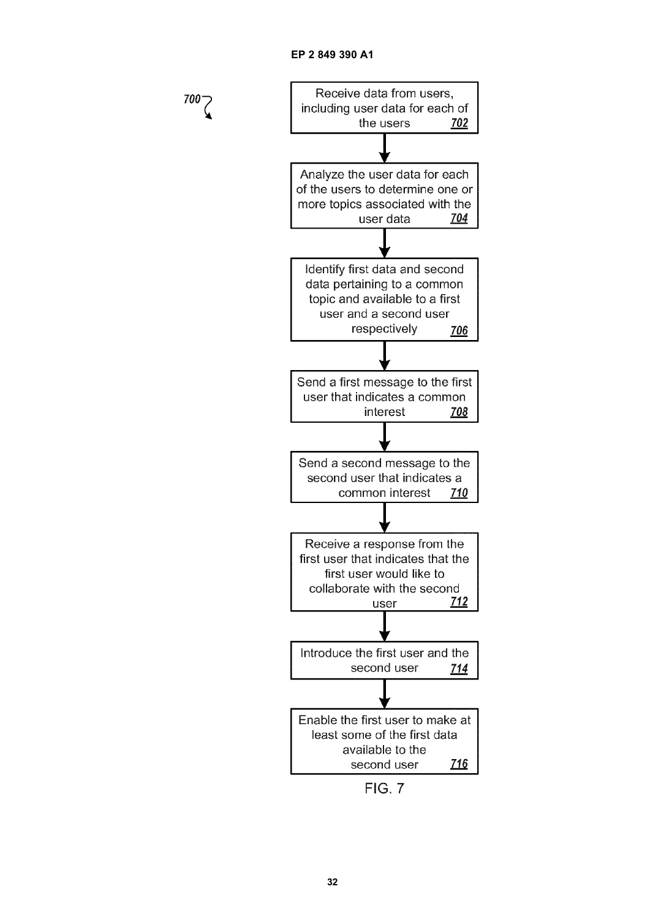$700 -$ 



**FIG. 7**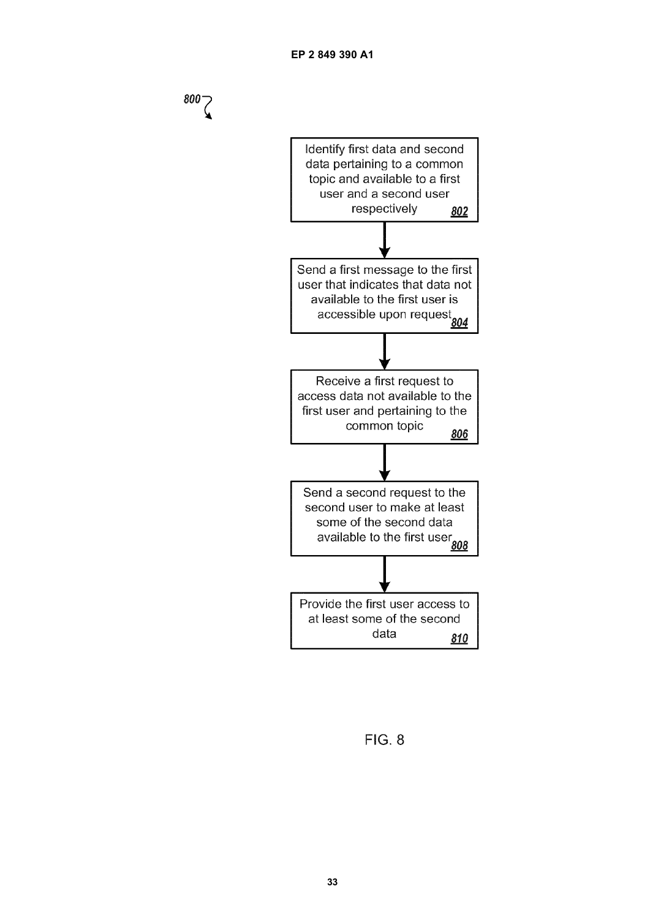

**FIG. 8**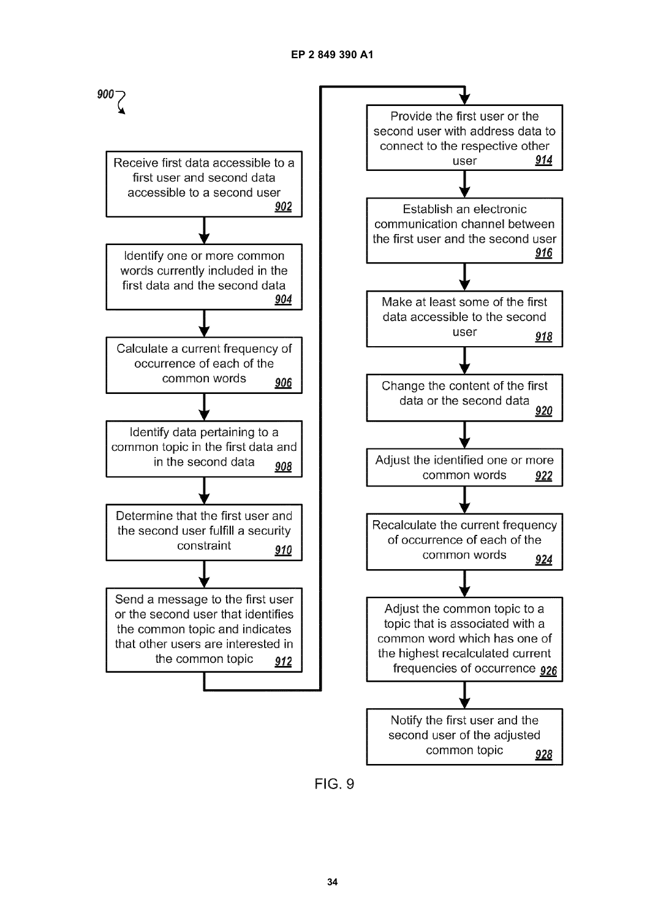

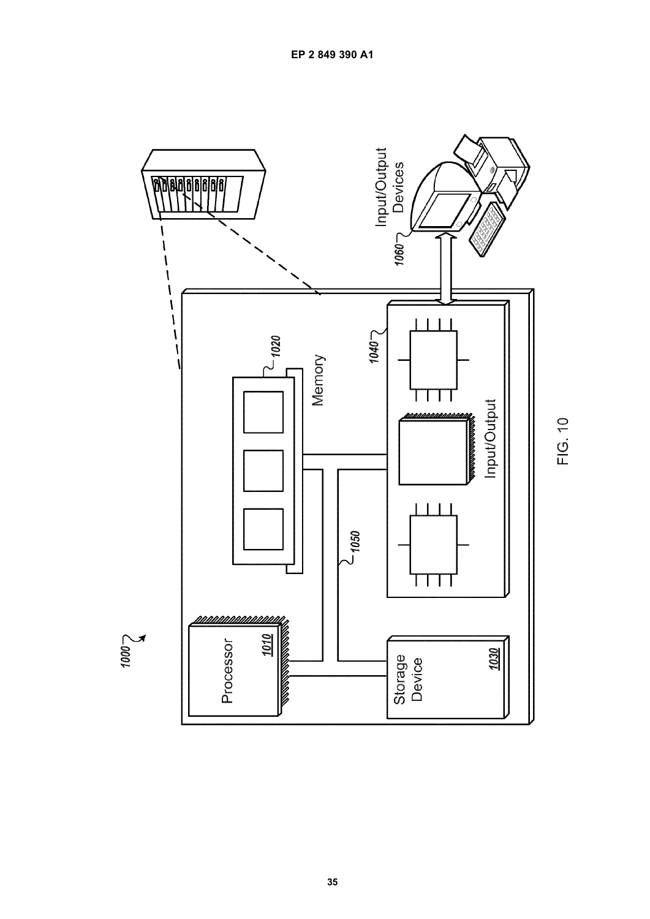

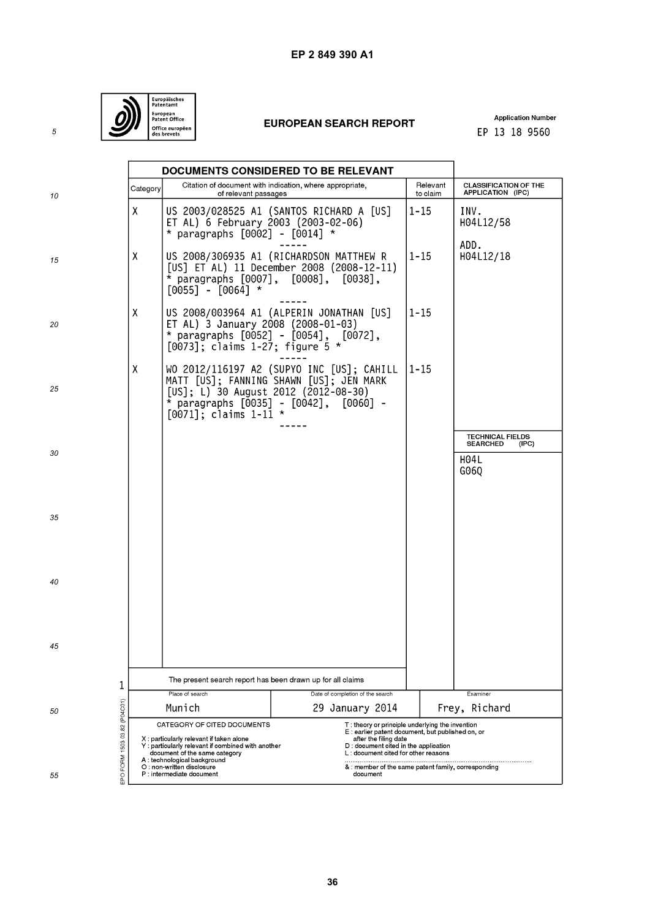

# **EUROPEAN SEARCH REPORT**

**Application Number** EP 13 18 9560

|                              |                                                                                                                                                                                             | DOCUMENTS CONSIDERED TO BE RELEVANT                                                                                       |                                                                                                                                           |                                                                                                                                                                                                             |                                                                            |  |
|------------------------------|---------------------------------------------------------------------------------------------------------------------------------------------------------------------------------------------|---------------------------------------------------------------------------------------------------------------------------|-------------------------------------------------------------------------------------------------------------------------------------------|-------------------------------------------------------------------------------------------------------------------------------------------------------------------------------------------------------------|----------------------------------------------------------------------------|--|
| 10                           | Category                                                                                                                                                                                    | of relevant passages                                                                                                      | Citation of document with indication, where appropriate,                                                                                  | Relevant<br>to claim                                                                                                                                                                                        | <b>CLASSIFICATION OF THE</b><br>APPLICATION (IPC)                          |  |
|                              | X                                                                                                                                                                                           | ET AL) 6 February 2003 (2003-02-06)<br>* paragraphs $[0002]$ - $[0014]$ *                                                 | US 2003/028525 A1 (SANTOS RICHARD A [US]                                                                                                  | $1 - 15$                                                                                                                                                                                                    | INV.<br>H04L12/58<br>ADD.                                                  |  |
| 15                           | χ                                                                                                                                                                                           | $[0055]$ - $[0064]$ *                                                                                                     | US 2008/306935 A1 (RICHARDSON MATTHEW R<br>[US] ET AL) 11 December 2008 (2008-12-11)<br>$\star$ paragraphs [0007], [0008], [0038],        | $1 - 15$                                                                                                                                                                                                    | H04L12/18                                                                  |  |
| 20                           | Χ                                                                                                                                                                                           | ET AL) 3 January 2008 (2008-01-03)<br>$[0073]$ ; claims 1-27; figure 5 *                                                  | US 2008/003964 A1 (ALPERIN JONATHAN [US]<br>* paragraphs $[0052]$ - $[0054]$ , $[0072]$ ,                                                 | $1 - 15$                                                                                                                                                                                                    |                                                                            |  |
| 25                           | χ                                                                                                                                                                                           | [US]; L) 30 August 2012 (2012-08-30)<br>$[0071]$ ; claims $1-11$                                                          | WO 2012/116197 A2 (SUPYO INC [US]; CAHILL<br>MATT [US]; FANNING SHAWN [US]; JEN MARK<br>* paragraphs [0035] - [0042], [0060] -<br>$\star$ | $1 - 15$                                                                                                                                                                                                    |                                                                            |  |
| 30                           |                                                                                                                                                                                             |                                                                                                                           |                                                                                                                                           |                                                                                                                                                                                                             | <b>TECHNICAL FIELDS</b><br><b>SEARCHED</b><br>(IPC)<br><b>H04L</b><br>G060 |  |
| 35                           |                                                                                                                                                                                             |                                                                                                                           |                                                                                                                                           |                                                                                                                                                                                                             |                                                                            |  |
| 40                           |                                                                                                                                                                                             |                                                                                                                           |                                                                                                                                           |                                                                                                                                                                                                             |                                                                            |  |
| 45                           |                                                                                                                                                                                             |                                                                                                                           |                                                                                                                                           |                                                                                                                                                                                                             |                                                                            |  |
| 1                            |                                                                                                                                                                                             | The present search report has been drawn up for all claims                                                                |                                                                                                                                           |                                                                                                                                                                                                             |                                                                            |  |
|                              |                                                                                                                                                                                             | Place of search                                                                                                           | Date of completion of the search                                                                                                          |                                                                                                                                                                                                             | Examiner                                                                   |  |
| 50                           |                                                                                                                                                                                             | Munich                                                                                                                    | 29 January 2014                                                                                                                           | Frey, Richard                                                                                                                                                                                               |                                                                            |  |
| EPO FORM 1503 03.82 (P04C01) | CATEGORY OF CITED DOCUMENTS<br>X: particularly relevant if taken alone<br>Y: particularly relevant if combined with another<br>document of the same category<br>A: technological background |                                                                                                                           |                                                                                                                                           | T: theory or principle underlying the invention<br>E: earlier patent document, but published on, or<br>after the filing date<br>D: document cited in the application<br>L: document cited for other reasons |                                                                            |  |
| 55                           |                                                                                                                                                                                             | O : non-written disclosure<br>& : member of the same patent family, corresponding<br>P: intermediate document<br>document |                                                                                                                                           |                                                                                                                                                                                                             |                                                                            |  |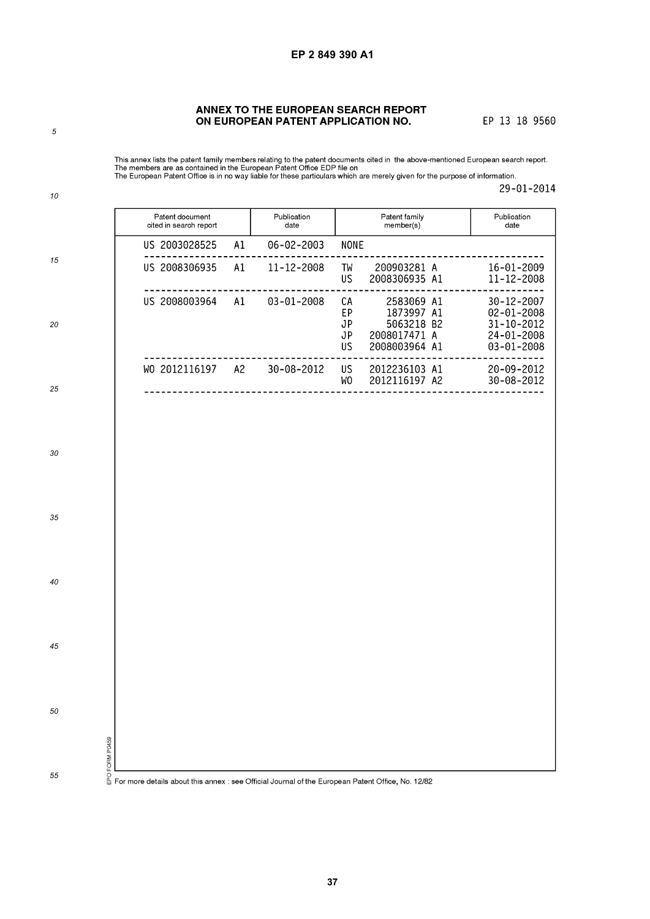# ANNEX TO THE EUROPEAN SEARCH REPORT ON EUROPEAN PATENT APPLICATION NO.

EP 13 18 9560

This annex lists the patent family members relating to the patent documents cited in the above-mentioned European search report.<br>The members are as contained in the European Patent Office EDP file on<br>The European Patent O

29-01-2014

|    | Patent document<br>cited in search report                                                                                         | Publication<br>date | Patent family<br>member(s)                                                                            | Publication<br>date                                                            |
|----|-----------------------------------------------------------------------------------------------------------------------------------|---------------------|-------------------------------------------------------------------------------------------------------|--------------------------------------------------------------------------------|
|    | US 2003028525<br>A1                                                                                                               | $06 - 02 - 2003$    | <b>NONE</b>                                                                                           |                                                                                |
| 15 | US 2008306935<br>A1                                                                                                               | 11-12-2008          | 200903281 A<br>TW<br>2008306935 A1<br>US.                                                             | 16-01-2009<br>$11 - 12 - 2008$                                                 |
| 20 | US 2008003964<br>A1                                                                                                               | $03 - 01 - 2008$    | 2583069 A1<br>СA<br>1873997 A1<br>EP<br>5063218 B2<br>JP<br>2008017471 A<br>JP<br>2008003964 A1<br>US | 30-12-2007<br>$02 - 01 - 2008$<br>31-10-2012<br>24-01-2008<br>$03 - 01 - 2008$ |
| 25 | WO 2012116197 A2 30-08-2012                                                                                                       |                     | US <sub>1</sub><br>2012236103 A1<br>2012116197 A2<br>WO                                               | 20-09-2012<br>30-08-2012                                                       |
|    |                                                                                                                                   |                     |                                                                                                       |                                                                                |
| 30 |                                                                                                                                   |                     |                                                                                                       |                                                                                |
| 35 |                                                                                                                                   |                     |                                                                                                       |                                                                                |
| 40 |                                                                                                                                   |                     |                                                                                                       |                                                                                |
| 45 |                                                                                                                                   |                     |                                                                                                       |                                                                                |
| 50 |                                                                                                                                   |                     |                                                                                                       |                                                                                |
| 55 | ്ട്ട്<br>2 ക്ലീ<br>0- ക്ലീ<br>1 For more details about this annex : see Official Journal of the European Patent Office, No. 12/82 |                     |                                                                                                       |                                                                                |